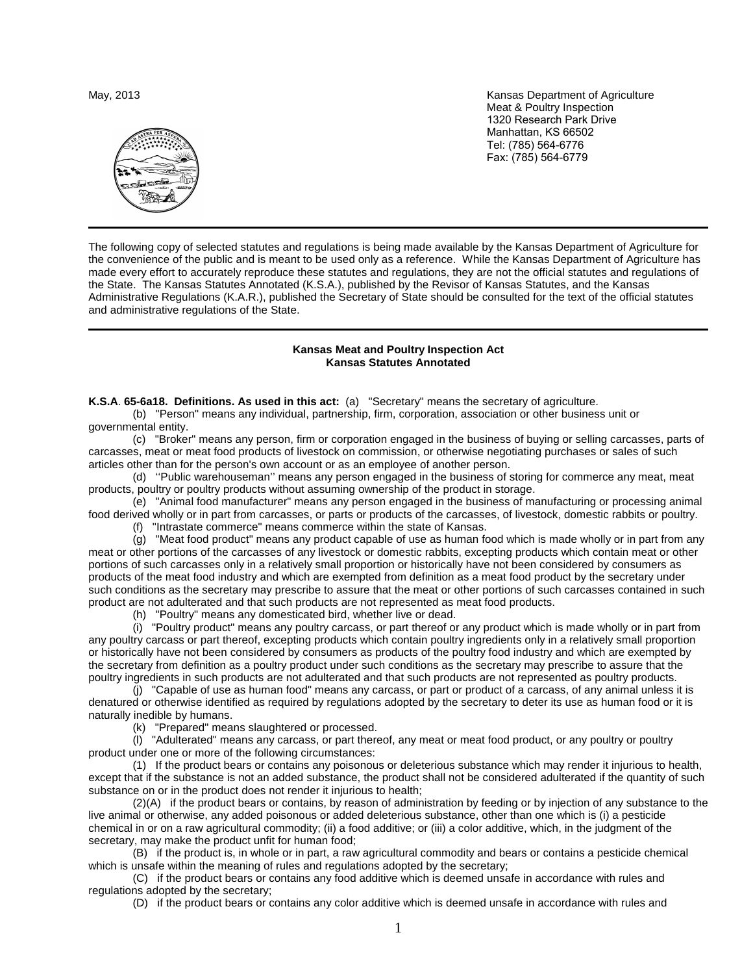

May, 2013 **Kansas Department of Agriculture** Meat & Poultry Inspection 1320 Research Park Drive Manhattan, KS 66502 Tel: (785) 564-6776 Fax: (785) 564-6779

The following copy of selected statutes and regulations is being made available by the Kansas Department of Agriculture for the convenience of the public and is meant to be used only as a reference. While the Kansas Department of Agriculture has made every effort to accurately reproduce these statutes and regulations, they are not the official statutes and regulations of the State. The Kansas Statutes Annotated (K.S.A.), published by the Revisor of Kansas Statutes, and the Kansas Administrative Regulations (K.A.R.), published the Secretary of State should be consulted for the text of the official statutes and administrative regulations of the State.

# **Kansas Meat and Poultry Inspection Act Kansas Statutes Annotated**

**K.S.A**. **65-6a18. Definitions. As used in this act:** (a) "Secretary" means the secretary of agriculture.

(b) "Person" means any individual, partnership, firm, corporation, association or other business unit or governmental entity.

(c) "Broker" means any person, firm or corporation engaged in the business of buying or selling carcasses, parts of carcasses, meat or meat food products of livestock on commission, or otherwise negotiating purchases or sales of such articles other than for the person's own account or as an employee of another person.

(d) ''Public warehouseman'' means any person engaged in the business of storing for commerce any meat, meat products, poultry or poultry products without assuming ownership of the product in storage.

(e) "Animal food manufacturer" means any person engaged in the business of manufacturing or processing animal food derived wholly or in part from carcasses, or parts or products of the carcasses, of livestock, domestic rabbits or poultry.

(f) "Intrastate commerce" means commerce within the state of Kansas.

(g) "Meat food product" means any product capable of use as human food which is made wholly or in part from any meat or other portions of the carcasses of any livestock or domestic rabbits, excepting products which contain meat or other portions of such carcasses only in a relatively small proportion or historically have not been considered by consumers as products of the meat food industry and which are exempted from definition as a meat food product by the secretary under such conditions as the secretary may prescribe to assure that the meat or other portions of such carcasses contained in such product are not adulterated and that such products are not represented as meat food products.

(h) "Poultry" means any domesticated bird, whether live or dead.

(i) "Poultry product" means any poultry carcass, or part thereof or any product which is made wholly or in part from any poultry carcass or part thereof, excepting products which contain poultry ingredients only in a relatively small proportion or historically have not been considered by consumers as products of the poultry food industry and which are exempted by the secretary from definition as a poultry product under such conditions as the secretary may prescribe to assure that the poultry ingredients in such products are not adulterated and that such products are not represented as poultry products.

(j) "Capable of use as human food" means any carcass, or part or product of a carcass, of any animal unless it is denatured or otherwise identified as required by regulations adopted by the secretary to deter its use as human food or it is naturally inedible by humans.

(k) "Prepared" means slaughtered or processed.

(l) "Adulterated" means any carcass, or part thereof, any meat or meat food product, or any poultry or poultry product under one or more of the following circumstances:

(1) If the product bears or contains any poisonous or deleterious substance which may render it injurious to health, except that if the substance is not an added substance, the product shall not be considered adulterated if the quantity of such substance on or in the product does not render it injurious to health;

(2)(A) if the product bears or contains, by reason of administration by feeding or by injection of any substance to the live animal or otherwise, any added poisonous or added deleterious substance, other than one which is (i) a pesticide chemical in or on a raw agricultural commodity; (ii) a food additive; or (iii) a color additive, which, in the judgment of the secretary, may make the product unfit for human food;

(B) if the product is, in whole or in part, a raw agricultural commodity and bears or contains a pesticide chemical which is unsafe within the meaning of rules and regulations adopted by the secretary;

(C) if the product bears or contains any food additive which is deemed unsafe in accordance with rules and regulations adopted by the secretary;

(D) if the product bears or contains any color additive which is deemed unsafe in accordance with rules and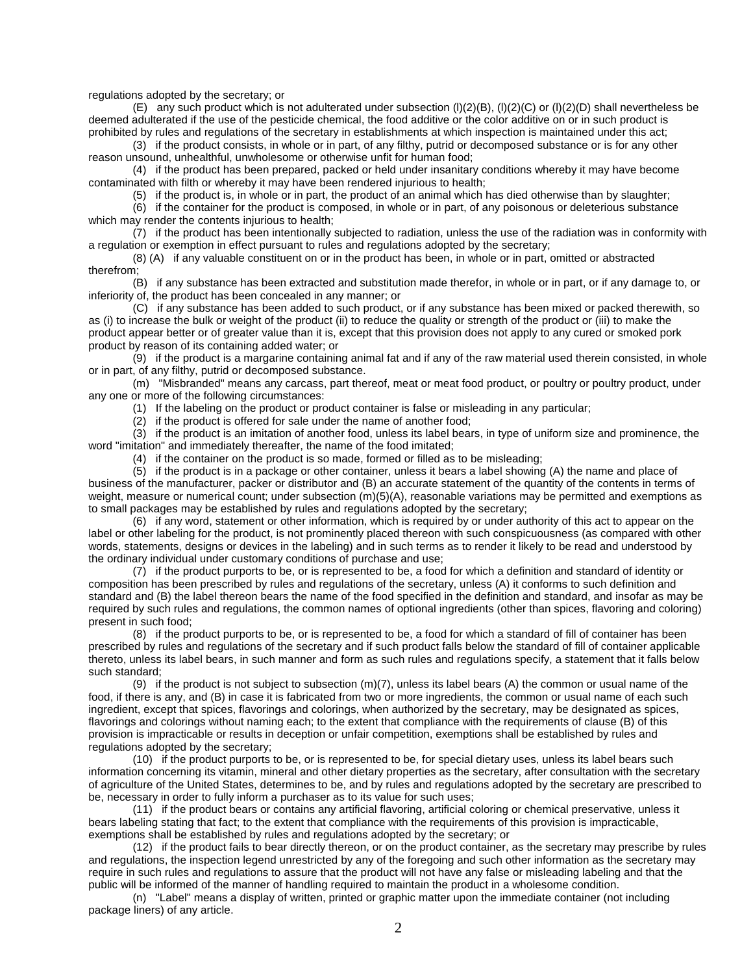regulations adopted by the secretary; or

(E) any such product which is not adulterated under subsection (l)(2)(B), (l)(2)(C) or (l)(2)(D) shall nevertheless be deemed adulterated if the use of the pesticide chemical, the food additive or the color additive on or in such product is prohibited by rules and regulations of the secretary in establishments at which inspection is maintained under this act;

(3) if the product consists, in whole or in part, of any filthy, putrid or decomposed substance or is for any other reason unsound, unhealthful, unwholesome or otherwise unfit for human food;

(4) if the product has been prepared, packed or held under insanitary conditions whereby it may have become contaminated with filth or whereby it may have been rendered injurious to health;

(5) if the product is, in whole or in part, the product of an animal which has died otherwise than by slaughter;

(6) if the container for the product is composed, in whole or in part, of any poisonous or deleterious substance which may render the contents injurious to health;

(7) if the product has been intentionally subjected to radiation, unless the use of the radiation was in conformity with a regulation or exemption in effect pursuant to rules and regulations adopted by the secretary;

(8) (A) if any valuable constituent on or in the product has been, in whole or in part, omitted or abstracted therefrom;

(B) if any substance has been extracted and substitution made therefor, in whole or in part, or if any damage to, or inferiority of, the product has been concealed in any manner; or

(C) if any substance has been added to such product, or if any substance has been mixed or packed therewith, so as (i) to increase the bulk or weight of the product (ii) to reduce the quality or strength of the product or (iii) to make the product appear better or of greater value than it is, except that this provision does not apply to any cured or smoked pork product by reason of its containing added water; or

(9) if the product is a margarine containing animal fat and if any of the raw material used therein consisted, in whole or in part, of any filthy, putrid or decomposed substance.

(m) "Misbranded" means any carcass, part thereof, meat or meat food product, or poultry or poultry product, under any one or more of the following circumstances:

(1) If the labeling on the product or product container is false or misleading in any particular;

(2) if the product is offered for sale under the name of another food;

 $(3)$  if the product is an imitation of another food, unless its label bears, in type of uniform size and prominence, the word "imitation" and immediately thereafter, the name of the food imitated;

(4) if the container on the product is so made, formed or filled as to be misleading;

(5) if the product is in a package or other container, unless it bears a label showing (A) the name and place of business of the manufacturer, packer or distributor and (B) an accurate statement of the quantity of the contents in terms of weight, measure or numerical count; under subsection (m)(5)(A), reasonable variations may be permitted and exemptions as to small packages may be established by rules and regulations adopted by the secretary;

(6) if any word, statement or other information, which is required by or under authority of this act to appear on the label or other labeling for the product, is not prominently placed thereon with such conspicuousness (as compared with other words, statements, designs or devices in the labeling) and in such terms as to render it likely to be read and understood by the ordinary individual under customary conditions of purchase and use;

(7) if the product purports to be, or is represented to be, a food for which a definition and standard of identity or composition has been prescribed by rules and regulations of the secretary, unless (A) it conforms to such definition and standard and (B) the label thereon bears the name of the food specified in the definition and standard, and insofar as may be required by such rules and regulations, the common names of optional ingredients (other than spices, flavoring and coloring) present in such food;

(8) if the product purports to be, or is represented to be, a food for which a standard of fill of container has been prescribed by rules and regulations of the secretary and if such product falls below the standard of fill of container applicable thereto, unless its label bears, in such manner and form as such rules and regulations specify, a statement that it falls below such standard;

(9) if the product is not subject to subsection  $(m)(7)$ , unless its label bears (A) the common or usual name of the food, if there is any, and (B) in case it is fabricated from two or more ingredients, the common or usual name of each such ingredient, except that spices, flavorings and colorings, when authorized by the secretary, may be designated as spices, flavorings and colorings without naming each; to the extent that compliance with the requirements of clause (B) of this provision is impracticable or results in deception or unfair competition, exemptions shall be established by rules and regulations adopted by the secretary;

(10) if the product purports to be, or is represented to be, for special dietary uses, unless its label bears such information concerning its vitamin, mineral and other dietary properties as the secretary, after consultation with the secretary of agriculture of the United States, determines to be, and by rules and regulations adopted by the secretary are prescribed to be, necessary in order to fully inform a purchaser as to its value for such uses;

(11) if the product bears or contains any artificial flavoring, artificial coloring or chemical preservative, unless it bears labeling stating that fact; to the extent that compliance with the requirements of this provision is impracticable, exemptions shall be established by rules and regulations adopted by the secretary; or

(12) if the product fails to bear directly thereon, or on the product container, as the secretary may prescribe by rules and regulations, the inspection legend unrestricted by any of the foregoing and such other information as the secretary may require in such rules and regulations to assure that the product will not have any false or misleading labeling and that the public will be informed of the manner of handling required to maintain the product in a wholesome condition.

(n) "Label" means a display of written, printed or graphic matter upon the immediate container (not including package liners) of any article.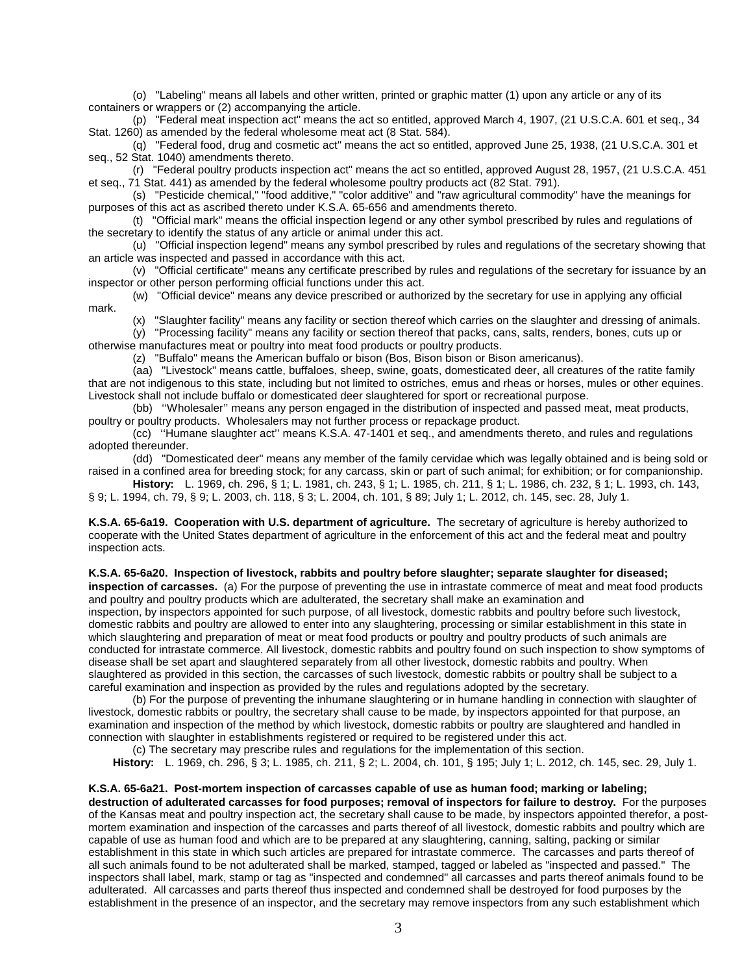(o) "Labeling" means all labels and other written, printed or graphic matter (1) upon any article or any of its containers or wrappers or (2) accompanying the article.

(p) "Federal meat inspection act" means the act so entitled, approved March 4, 1907, (21 U.S.C.A. 601 et seq., 34 Stat. 1260) as amended by the federal wholesome meat act (8 Stat. 584).

(q) "Federal food, drug and cosmetic act" means the act so entitled, approved June 25, 1938, (21 U.S.C.A. 301 et seq., 52 Stat. 1040) amendments thereto.

(r) "Federal poultry products inspection act" means the act so entitled, approved August 28, 1957, (21 U.S.C.A. 451 et seq., 71 Stat. 441) as amended by the federal wholesome poultry products act (82 Stat. 791).

(s) "Pesticide chemical," "food additive," "color additive" and "raw agricultural commodity" have the meanings for purposes of this act as ascribed thereto under K.S.A. 65-656 and amendments thereto.

(t) "Official mark" means the official inspection legend or any other symbol prescribed by rules and regulations of the secretary to identify the status of any article or animal under this act.

(u) "Official inspection legend" means any symbol prescribed by rules and regulations of the secretary showing that an article was inspected and passed in accordance with this act.

(v) "Official certificate" means any certificate prescribed by rules and regulations of the secretary for issuance by an inspector or other person performing official functions under this act.

(w) "Official device" means any device prescribed or authorized by the secretary for use in applying any official mark.

(x) "Slaughter facility" means any facility or section thereof which carries on the slaughter and dressing of animals.

(y) "Processing facility" means any facility or section thereof that packs, cans, salts, renders, bones, cuts up or otherwise manufactures meat or poultry into meat food products or poultry products.

(z) "Buffalo" means the American buffalo or bison (Bos, Bison bison or Bison americanus).

(aa) "Livestock" means cattle, buffaloes, sheep, swine, goats, domesticated deer, all creatures of the ratite family that are not indigenous to this state, including but not limited to ostriches, emus and rheas or horses, mules or other equines. Livestock shall not include buffalo or domesticated deer slaughtered for sport or recreational purpose.

(bb) ''Wholesaler'' means any person engaged in the distribution of inspected and passed meat, meat products, poultry or poultry products. Wholesalers may not further process or repackage product.

(cc) ''Humane slaughter act'' means K.S.A. 47-1401 et seq., and amendments thereto, and rules and regulations adopted thereunder.

(dd) "Domesticated deer" means any member of the family cervidae which was legally obtained and is being sold or raised in a confined area for breeding stock; for any carcass, skin or part of such animal; for exhibition; or for companionship.

**History:** L. 1969, ch. 296, § 1; L. 1981, ch. 243, § 1; L. 1985, ch. 211, § 1; L. 1986, ch. 232, § 1; L. 1993, ch. 143, § 9; L. 1994, ch. 79, § 9; L. 2003, ch. 118, § 3; L. 2004, ch. 101, § 89; July 1; L. 2012, ch. 145, sec. 28, July 1.

**K.S.A. 65-6a19. Cooperation with U.S. department of agriculture.** The secretary of agriculture is hereby authorized to cooperate with the United States department of agriculture in the enforcement of this act and the federal meat and poultry inspection acts.

**K.S.A. 65-6a20. Inspection of livestock, rabbits and poultry before slaughter; separate slaughter for diseased;** 

**inspection of carcasses.** (a) For the purpose of preventing the use in intrastate commerce of meat and meat food products and poultry and poultry products which are adulterated, the secretary shall make an examination and

inspection, by inspectors appointed for such purpose, of all livestock, domestic rabbits and poultry before such livestock, domestic rabbits and poultry are allowed to enter into any slaughtering, processing or similar establishment in this state in which slaughtering and preparation of meat or meat food products or poultry and poultry products of such animals are conducted for intrastate commerce. All livestock, domestic rabbits and poultry found on such inspection to show symptoms of disease shall be set apart and slaughtered separately from all other livestock, domestic rabbits and poultry. When slaughtered as provided in this section, the carcasses of such livestock, domestic rabbits or poultry shall be subject to a careful examination and inspection as provided by the rules and regulations adopted by the secretary.

(b) For the purpose of preventing the inhumane slaughtering or in humane handling in connection with slaughter of livestock, domestic rabbits or poultry, the secretary shall cause to be made, by inspectors appointed for that purpose, an examination and inspection of the method by which livestock, domestic rabbits or poultry are slaughtered and handled in connection with slaughter in establishments registered or required to be registered under this act.

(c) The secretary may prescribe rules and regulations for the implementation of this section.

**History:** L. 1969, ch. 296, § 3; L. 1985, ch. 211, § 2; L. 2004, ch. 101, § 195; July 1; L. 2012, ch. 145, sec. 29, July 1.

## **K.S.A. 65-6a21. Post-mortem inspection of carcasses capable of use as human food; marking or labeling;**

**destruction of adulterated carcasses for food purposes; removal of inspectors for failure to destroy.** For the purposes of the Kansas meat and poultry inspection act, the secretary shall cause to be made, by inspectors appointed therefor, a postmortem examination and inspection of the carcasses and parts thereof of all livestock, domestic rabbits and poultry which are capable of use as human food and which are to be prepared at any slaughtering, canning, salting, packing or similar establishment in this state in which such articles are prepared for intrastate commerce. The carcasses and parts thereof of all such animals found to be not adulterated shall be marked, stamped, tagged or labeled as "inspected and passed." The inspectors shall label, mark, stamp or tag as "inspected and condemned" all carcasses and parts thereof animals found to be adulterated. All carcasses and parts thereof thus inspected and condemned shall be destroyed for food purposes by the establishment in the presence of an inspector, and the secretary may remove inspectors from any such establishment which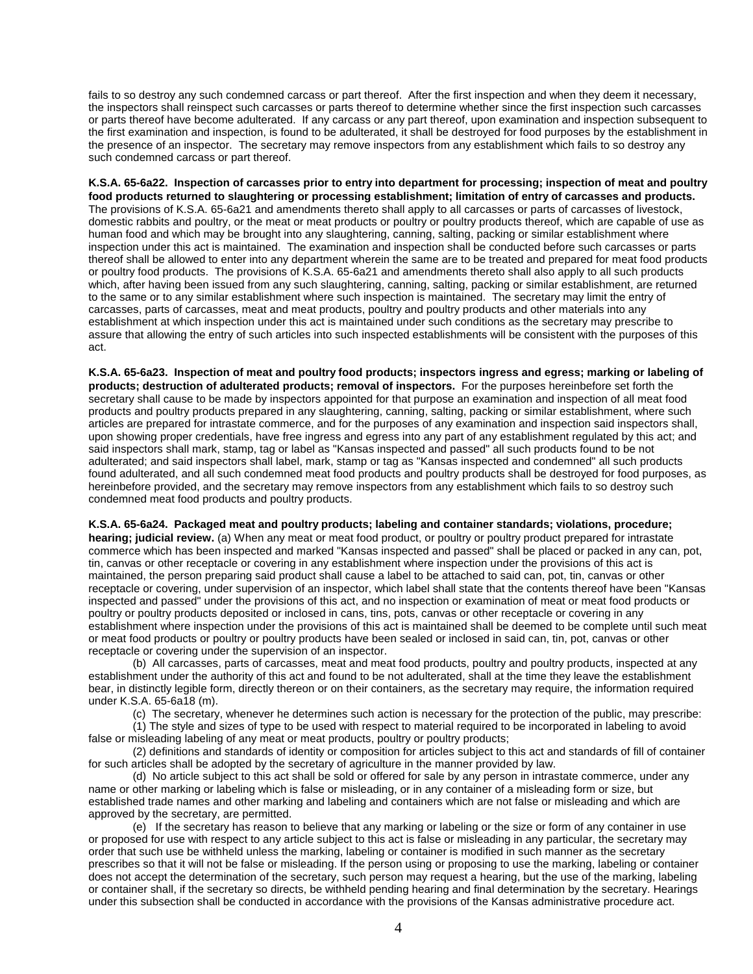fails to so destroy any such condemned carcass or part thereof. After the first inspection and when they deem it necessary, the inspectors shall reinspect such carcasses or parts thereof to determine whether since the first inspection such carcasses or parts thereof have become adulterated. If any carcass or any part thereof, upon examination and inspection subsequent to the first examination and inspection, is found to be adulterated, it shall be destroyed for food purposes by the establishment in the presence of an inspector. The secretary may remove inspectors from any establishment which fails to so destroy any such condemned carcass or part thereof.

**K.S.A. 65-6a22. Inspection of carcasses prior to entry into department for processing; inspection of meat and poultry food products returned to slaughtering or processing establishment; limitation of entry of carcasses and products.** The provisions of K.S.A. 65-6a21 and amendments thereto shall apply to all carcasses or parts of carcasses of livestock, domestic rabbits and poultry, or the meat or meat products or poultry or poultry products thereof, which are capable of use as human food and which may be brought into any slaughtering, canning, salting, packing or similar establishment where inspection under this act is maintained. The examination and inspection shall be conducted before such carcasses or parts thereof shall be allowed to enter into any department wherein the same are to be treated and prepared for meat food products or poultry food products. The provisions of K.S.A. 65-6a21 and amendments thereto shall also apply to all such products which, after having been issued from any such slaughtering, canning, salting, packing or similar establishment, are returned to the same or to any similar establishment where such inspection is maintained. The secretary may limit the entry of carcasses, parts of carcasses, meat and meat products, poultry and poultry products and other materials into any establishment at which inspection under this act is maintained under such conditions as the secretary may prescribe to assure that allowing the entry of such articles into such inspected establishments will be consistent with the purposes of this act.

**K.S.A. 65-6a23. Inspection of meat and poultry food products; inspectors ingress and egress; marking or labeling of products; destruction of adulterated products; removal of inspectors.** For the purposes hereinbefore set forth the secretary shall cause to be made by inspectors appointed for that purpose an examination and inspection of all meat food products and poultry products prepared in any slaughtering, canning, salting, packing or similar establishment, where such articles are prepared for intrastate commerce, and for the purposes of any examination and inspection said inspectors shall, upon showing proper credentials, have free ingress and egress into any part of any establishment regulated by this act; and said inspectors shall mark, stamp, tag or label as "Kansas inspected and passed" all such products found to be not adulterated; and said inspectors shall label, mark, stamp or tag as "Kansas inspected and condemned" all such products found adulterated, and all such condemned meat food products and poultry products shall be destroyed for food purposes, as hereinbefore provided, and the secretary may remove inspectors from any establishment which fails to so destroy such condemned meat food products and poultry products.

**K.S.A. 65-6a24. Packaged meat and poultry products; labeling and container standards; violations, procedure;** 

**hearing; judicial review.** (a) When any meat or meat food product, or poultry or poultry product prepared for intrastate commerce which has been inspected and marked "Kansas inspected and passed" shall be placed or packed in any can, pot, tin, canvas or other receptacle or covering in any establishment where inspection under the provisions of this act is maintained, the person preparing said product shall cause a label to be attached to said can, pot, tin, canvas or other receptacle or covering, under supervision of an inspector, which label shall state that the contents thereof have been "Kansas inspected and passed" under the provisions of this act, and no inspection or examination of meat or meat food products or poultry or poultry products deposited or inclosed in cans, tins, pots, canvas or other receptacle or covering in any establishment where inspection under the provisions of this act is maintained shall be deemed to be complete until such meat or meat food products or poultry or poultry products have been sealed or inclosed in said can, tin, pot, canvas or other receptacle or covering under the supervision of an inspector.

(b) All carcasses, parts of carcasses, meat and meat food products, poultry and poultry products, inspected at any establishment under the authority of this act and found to be not adulterated, shall at the time they leave the establishment bear, in distinctly legible form, directly thereon or on their containers, as the secretary may require, the information required under K.S.A. 65-6a18 (m).

(c) The secretary, whenever he determines such action is necessary for the protection of the public, may prescribe:

(1) The style and sizes of type to be used with respect to material required to be incorporated in labeling to avoid false or misleading labeling of any meat or meat products, poultry or poultry products;

(2) definitions and standards of identity or composition for articles subject to this act and standards of fill of container for such articles shall be adopted by the secretary of agriculture in the manner provided by law.

(d) No article subject to this act shall be sold or offered for sale by any person in intrastate commerce, under any name or other marking or labeling which is false or misleading, or in any container of a misleading form or size, but established trade names and other marking and labeling and containers which are not false or misleading and which are approved by the secretary, are permitted.

(e) If the secretary has reason to believe that any marking or labeling or the size or form of any container in use or proposed for use with respect to any article subject to this act is false or misleading in any particular, the secretary may order that such use be withheld unless the marking, labeling or container is modified in such manner as the secretary prescribes so that it will not be false or misleading. If the person using or proposing to use the marking, labeling or container does not accept the determination of the secretary, such person may request a hearing, but the use of the marking, labeling or container shall, if the secretary so directs, be withheld pending hearing and final determination by the secretary. Hearings under this subsection shall be conducted in accordance with the provisions of the Kansas administrative procedure act.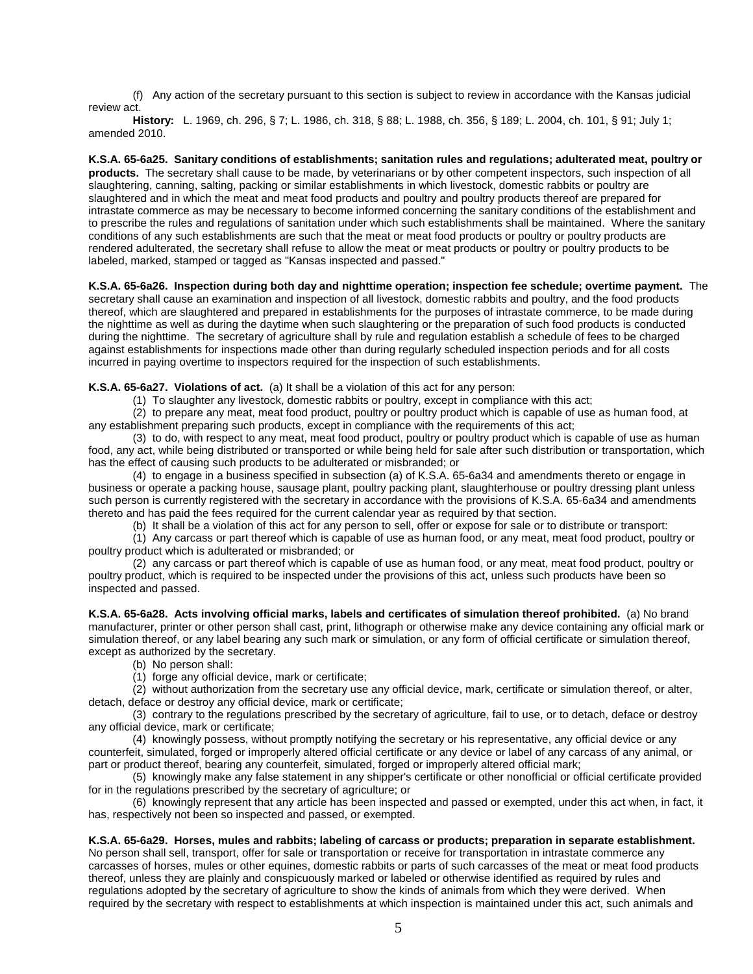(f) Any action of the secretary pursuant to this section is subject to review in accordance with the Kansas judicial review act.

**History:** L. 1969, ch. 296, § 7; L. 1986, ch. 318, § 88; L. 1988, ch. 356, § 189; L. 2004, ch. 101, § 91; July 1; amended 2010.

**K.S.A. 65-6a25. Sanitary conditions of establishments; sanitation rules and regulations; adulterated meat, poultry or products.** The secretary shall cause to be made, by veterinarians or by other competent inspectors, such inspection of all slaughtering, canning, salting, packing or similar establishments in which livestock, domestic rabbits or poultry are slaughtered and in which the meat and meat food products and poultry and poultry products thereof are prepared for intrastate commerce as may be necessary to become informed concerning the sanitary conditions of the establishment and to prescribe the rules and regulations of sanitation under which such establishments shall be maintained. Where the sanitary conditions of any such establishments are such that the meat or meat food products or poultry or poultry products are rendered adulterated, the secretary shall refuse to allow the meat or meat products or poultry or poultry products to be labeled, marked, stamped or tagged as "Kansas inspected and passed."

**K.S.A. 65-6a26. Inspection during both day and nighttime operation; inspection fee schedule; overtime payment.** The secretary shall cause an examination and inspection of all livestock, domestic rabbits and poultry, and the food products thereof, which are slaughtered and prepared in establishments for the purposes of intrastate commerce, to be made during the nighttime as well as during the daytime when such slaughtering or the preparation of such food products is conducted during the nighttime. The secretary of agriculture shall by rule and regulation establish a schedule of fees to be charged against establishments for inspections made other than during regularly scheduled inspection periods and for all costs incurred in paying overtime to inspectors required for the inspection of such establishments.

**K.S.A. 65-6a27. Violations of act.** (a) It shall be a violation of this act for any person:

(1) To slaughter any livestock, domestic rabbits or poultry, except in compliance with this act;

(2) to prepare any meat, meat food product, poultry or poultry product which is capable of use as human food, at any establishment preparing such products, except in compliance with the requirements of this act;

(3) to do, with respect to any meat, meat food product, poultry or poultry product which is capable of use as human food, any act, while being distributed or transported or while being held for sale after such distribution or transportation, which has the effect of causing such products to be adulterated or misbranded; or

(4) to engage in a business specified in subsection (a) of K.S.A. 65-6a34 and amendments thereto or engage in business or operate a packing house, sausage plant, poultry packing plant, slaughterhouse or poultry dressing plant unless such person is currently registered with the secretary in accordance with the provisions of K.S.A. 65-6a34 and amendments thereto and has paid the fees required for the current calendar year as required by that section.

(b) It shall be a violation of this act for any person to sell, offer or expose for sale or to distribute or transport:

(1) Any carcass or part thereof which is capable of use as human food, or any meat, meat food product, poultry or poultry product which is adulterated or misbranded; or

(2) any carcass or part thereof which is capable of use as human food, or any meat, meat food product, poultry or poultry product, which is required to be inspected under the provisions of this act, unless such products have been so inspected and passed.

**K.S.A. 65-6a28. Acts involving official marks, labels and certificates of simulation thereof prohibited.** (a) No brand manufacturer, printer or other person shall cast, print, lithograph or otherwise make any device containing any official mark or simulation thereof, or any label bearing any such mark or simulation, or any form of official certificate or simulation thereof, except as authorized by the secretary.

(b) No person shall:

(1) forge any official device, mark or certificate;

(2) without authorization from the secretary use any official device, mark, certificate or simulation thereof, or alter, detach, deface or destroy any official device, mark or certificate;

(3) contrary to the regulations prescribed by the secretary of agriculture, fail to use, or to detach, deface or destroy any official device, mark or certificate;

(4) knowingly possess, without promptly notifying the secretary or his representative, any official device or any counterfeit, simulated, forged or improperly altered official certificate or any device or label of any carcass of any animal, or part or product thereof, bearing any counterfeit, simulated, forged or improperly altered official mark;

(5) knowingly make any false statement in any shipper's certificate or other nonofficial or official certificate provided for in the regulations prescribed by the secretary of agriculture; or

(6) knowingly represent that any article has been inspected and passed or exempted, under this act when, in fact, it has, respectively not been so inspected and passed, or exempted.

## **K.S.A. 65-6a29. Horses, mules and rabbits; labeling of carcass or products; preparation in separate establishment.**

No person shall sell, transport, offer for sale or transportation or receive for transportation in intrastate commerce any carcasses of horses, mules or other equines, domestic rabbits or parts of such carcasses of the meat or meat food products thereof, unless they are plainly and conspicuously marked or labeled or otherwise identified as required by rules and regulations adopted by the secretary of agriculture to show the kinds of animals from which they were derived. When required by the secretary with respect to establishments at which inspection is maintained under this act, such animals and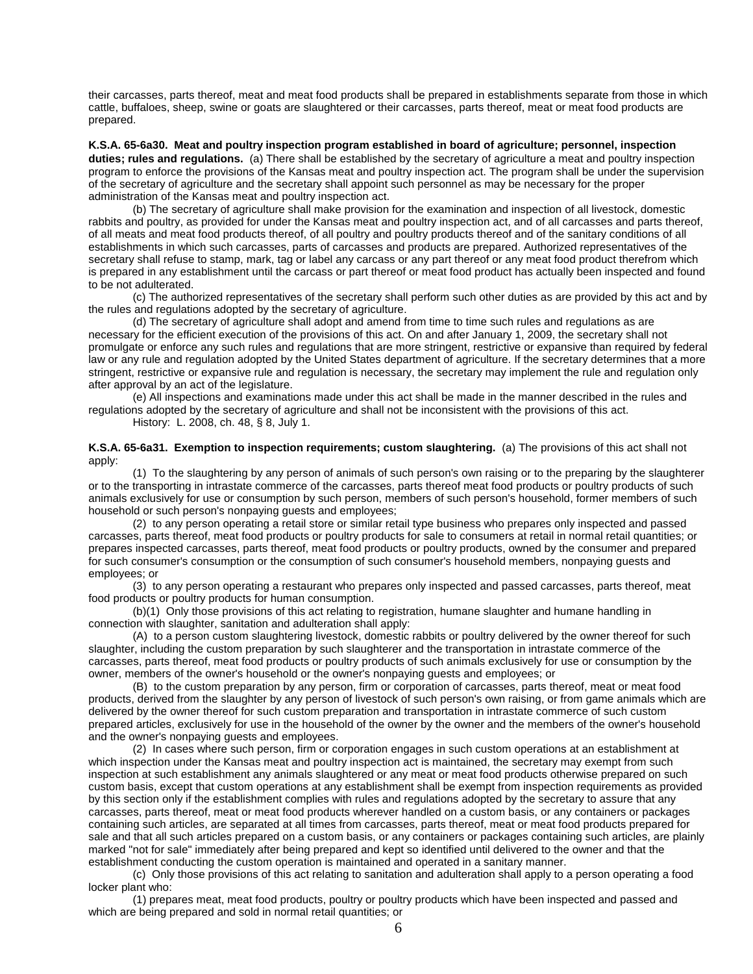their carcasses, parts thereof, meat and meat food products shall be prepared in establishments separate from those in which cattle, buffaloes, sheep, swine or goats are slaughtered or their carcasses, parts thereof, meat or meat food products are prepared.

**K.S.A. 65-6a30. Meat and poultry inspection program established in board of agriculture; personnel, inspection duties; rules and regulations.** (a) There shall be established by the secretary of agriculture a meat and poultry inspection program to enforce the provisions of the Kansas meat and poultry inspection act. The program shall be under the supervision of the secretary of agriculture and the secretary shall appoint such personnel as may be necessary for the proper administration of the Kansas meat and poultry inspection act.

(b) The secretary of agriculture shall make provision for the examination and inspection of all livestock, domestic rabbits and poultry, as provided for under the Kansas meat and poultry inspection act, and of all carcasses and parts thereof, of all meats and meat food products thereof, of all poultry and poultry products thereof and of the sanitary conditions of all establishments in which such carcasses, parts of carcasses and products are prepared. Authorized representatives of the secretary shall refuse to stamp, mark, tag or label any carcass or any part thereof or any meat food product therefrom which is prepared in any establishment until the carcass or part thereof or meat food product has actually been inspected and found to be not adulterated.

(c) The authorized representatives of the secretary shall perform such other duties as are provided by this act and by the rules and regulations adopted by the secretary of agriculture.

(d) The secretary of agriculture shall adopt and amend from time to time such rules and regulations as are necessary for the efficient execution of the provisions of this act. On and after January 1, 2009, the secretary shall not promulgate or enforce any such rules and regulations that are more stringent, restrictive or expansive than required by federal law or any rule and regulation adopted by the United States department of agriculture. If the secretary determines that a more stringent, restrictive or expansive rule and regulation is necessary, the secretary may implement the rule and regulation only after approval by an act of the legislature.

(e) All inspections and examinations made under this act shall be made in the manner described in the rules and regulations adopted by the secretary of agriculture and shall not be inconsistent with the provisions of this act.

History: L. 2008, ch. 48, § 8, July 1.

**K.S.A. 65-6a31. Exemption to inspection requirements; custom slaughtering.** (a) The provisions of this act shall not apply:

(1) To the slaughtering by any person of animals of such person's own raising or to the preparing by the slaughterer or to the transporting in intrastate commerce of the carcasses, parts thereof meat food products or poultry products of such animals exclusively for use or consumption by such person, members of such person's household, former members of such household or such person's nonpaying guests and employees;

(2) to any person operating a retail store or similar retail type business who prepares only inspected and passed carcasses, parts thereof, meat food products or poultry products for sale to consumers at retail in normal retail quantities; or prepares inspected carcasses, parts thereof, meat food products or poultry products, owned by the consumer and prepared for such consumer's consumption or the consumption of such consumer's household members, nonpaying guests and employees; or

(3) to any person operating a restaurant who prepares only inspected and passed carcasses, parts thereof, meat food products or poultry products for human consumption.

(b)(1) Only those provisions of this act relating to registration, humane slaughter and humane handling in connection with slaughter, sanitation and adulteration shall apply:

(A) to a person custom slaughtering livestock, domestic rabbits or poultry delivered by the owner thereof for such slaughter, including the custom preparation by such slaughterer and the transportation in intrastate commerce of the carcasses, parts thereof, meat food products or poultry products of such animals exclusively for use or consumption by the owner, members of the owner's household or the owner's nonpaying guests and employees; or

(B) to the custom preparation by any person, firm or corporation of carcasses, parts thereof, meat or meat food products, derived from the slaughter by any person of livestock of such person's own raising, or from game animals which are delivered by the owner thereof for such custom preparation and transportation in intrastate commerce of such custom prepared articles, exclusively for use in the household of the owner by the owner and the members of the owner's household and the owner's nonpaying guests and employees.

(2) In cases where such person, firm or corporation engages in such custom operations at an establishment at which inspection under the Kansas meat and poultry inspection act is maintained, the secretary may exempt from such inspection at such establishment any animals slaughtered or any meat or meat food products otherwise prepared on such custom basis, except that custom operations at any establishment shall be exempt from inspection requirements as provided by this section only if the establishment complies with rules and regulations adopted by the secretary to assure that any carcasses, parts thereof, meat or meat food products wherever handled on a custom basis, or any containers or packages containing such articles, are separated at all times from carcasses, parts thereof, meat or meat food products prepared for sale and that all such articles prepared on a custom basis, or any containers or packages containing such articles, are plainly marked "not for sale" immediately after being prepared and kept so identified until delivered to the owner and that the establishment conducting the custom operation is maintained and operated in a sanitary manner.

(c) Only those provisions of this act relating to sanitation and adulteration shall apply to a person operating a food locker plant who:

(1) prepares meat, meat food products, poultry or poultry products which have been inspected and passed and which are being prepared and sold in normal retail quantities; or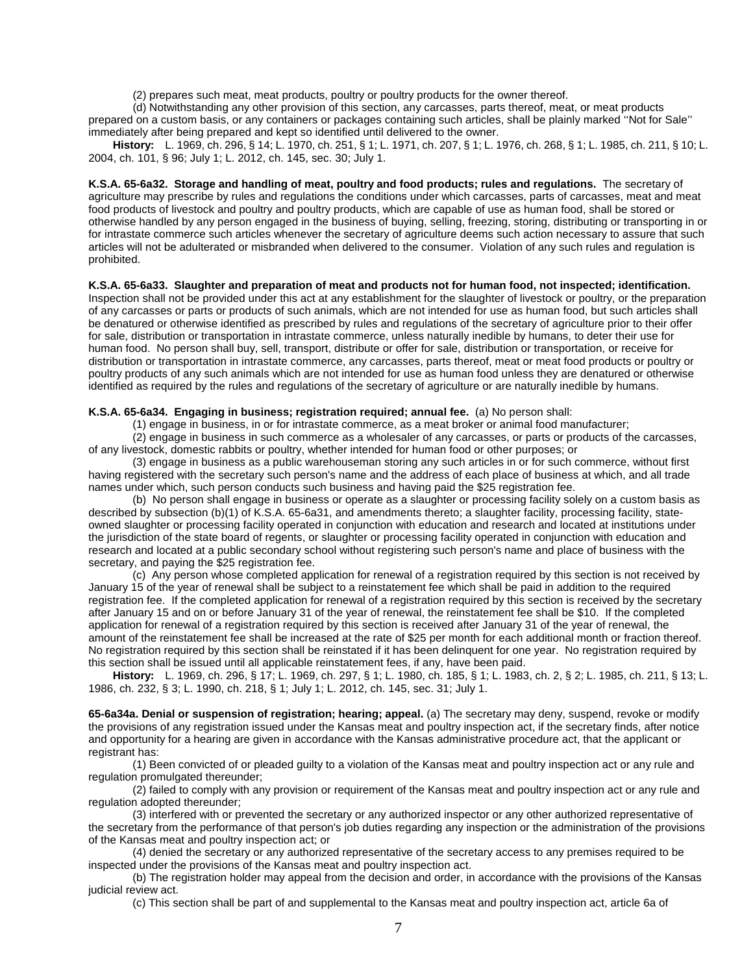(2) prepares such meat, meat products, poultry or poultry products for the owner thereof.

(d) Notwithstanding any other provision of this section, any carcasses, parts thereof, meat, or meat products prepared on a custom basis, or any containers or packages containing such articles, shall be plainly marked ''Not for Sale'' immediately after being prepared and kept so identified until delivered to the owner.

**History:** L. 1969, ch. 296, § 14; L. 1970, ch. 251, § 1; L. 1971, ch. 207, § 1; L. 1976, ch. 268, § 1; L. 1985, ch. 211, § 10; L. 2004, ch. 101, § 96; July 1; L. 2012, ch. 145, sec. 30; July 1.

**K.S.A. 65-6a32. Storage and handling of meat, poultry and food products; rules and regulations.** The secretary of agriculture may prescribe by rules and regulations the conditions under which carcasses, parts of carcasses, meat and meat food products of livestock and poultry and poultry products, which are capable of use as human food, shall be stored or otherwise handled by any person engaged in the business of buying, selling, freezing, storing, distributing or transporting in or for intrastate commerce such articles whenever the secretary of agriculture deems such action necessary to assure that such articles will not be adulterated or misbranded when delivered to the consumer. Violation of any such rules and regulation is prohibited.

### **K.S.A. 65-6a33. Slaughter and preparation of meat and products not for human food, not inspected; identification.**

Inspection shall not be provided under this act at any establishment for the slaughter of livestock or poultry, or the preparation of any carcasses or parts or products of such animals, which are not intended for use as human food, but such articles shall be denatured or otherwise identified as prescribed by rules and regulations of the secretary of agriculture prior to their offer for sale, distribution or transportation in intrastate commerce, unless naturally inedible by humans, to deter their use for human food. No person shall buy, sell, transport, distribute or offer for sale, distribution or transportation, or receive for distribution or transportation in intrastate commerce, any carcasses, parts thereof, meat or meat food products or poultry or poultry products of any such animals which are not intended for use as human food unless they are denatured or otherwise identified as required by the rules and regulations of the secretary of agriculture or are naturally inedible by humans.

### **K.S.A. 65-6a34. Engaging in business; registration required; annual fee.** (a) No person shall:

(1) engage in business, in or for intrastate commerce, as a meat broker or animal food manufacturer;

(2) engage in business in such commerce as a wholesaler of any carcasses, or parts or products of the carcasses, of any livestock, domestic rabbits or poultry, whether intended for human food or other purposes; or

(3) engage in business as a public warehouseman storing any such articles in or for such commerce, without first having registered with the secretary such person's name and the address of each place of business at which, and all trade names under which, such person conducts such business and having paid the \$25 registration fee.

(b) No person shall engage in business or operate as a slaughter or processing facility solely on a custom basis as described by subsection (b)(1) of K.S.A. 65-6a31, and amendments thereto; a slaughter facility, processing facility, stateowned slaughter or processing facility operated in conjunction with education and research and located at institutions under the jurisdiction of the state board of regents, or slaughter or processing facility operated in conjunction with education and research and located at a public secondary school without registering such person's name and place of business with the secretary, and paying the \$25 registration fee.

(c) Any person whose completed application for renewal of a registration required by this section is not received by January 15 of the year of renewal shall be subject to a reinstatement fee which shall be paid in addition to the required registration fee. If the completed application for renewal of a registration required by this section is received by the secretary after January 15 and on or before January 31 of the year of renewal, the reinstatement fee shall be \$10. If the completed application for renewal of a registration required by this section is received after January 31 of the year of renewal, the amount of the reinstatement fee shall be increased at the rate of \$25 per month for each additional month or fraction thereof. No registration required by this section shall be reinstated if it has been delinquent for one year. No registration required by this section shall be issued until all applicable reinstatement fees, if any, have been paid.

**History:** L. 1969, ch. 296, § 17; L. 1969, ch. 297, § 1; L. 1980, ch. 185, § 1; L. 1983, ch. 2, § 2; L. 1985, ch. 211, § 13; L. 1986, ch. 232, § 3; L. 1990, ch. 218, § 1; July 1; L. 2012, ch. 145, sec. 31; July 1.

**65-6a34a. Denial or suspension of registration; hearing; appeal.** (a) The secretary may deny, suspend, revoke or modify the provisions of any registration issued under the Kansas meat and poultry inspection act, if the secretary finds, after notice and opportunity for a hearing are given in accordance with the Kansas administrative procedure act, that the applicant or registrant has:

(1) Been convicted of or pleaded guilty to a violation of the Kansas meat and poultry inspection act or any rule and regulation promulgated thereunder;

(2) failed to comply with any provision or requirement of the Kansas meat and poultry inspection act or any rule and regulation adopted thereunder;

(3) interfered with or prevented the secretary or any authorized inspector or any other authorized representative of the secretary from the performance of that person's job duties regarding any inspection or the administration of the provisions of the Kansas meat and poultry inspection act; or

(4) denied the secretary or any authorized representative of the secretary access to any premises required to be inspected under the provisions of the Kansas meat and poultry inspection act.

(b) The registration holder may appeal from the decision and order, in accordance with the provisions of the Kansas judicial review act.

(c) This section shall be part of and supplemental to the Kansas meat and poultry inspection act, article 6a of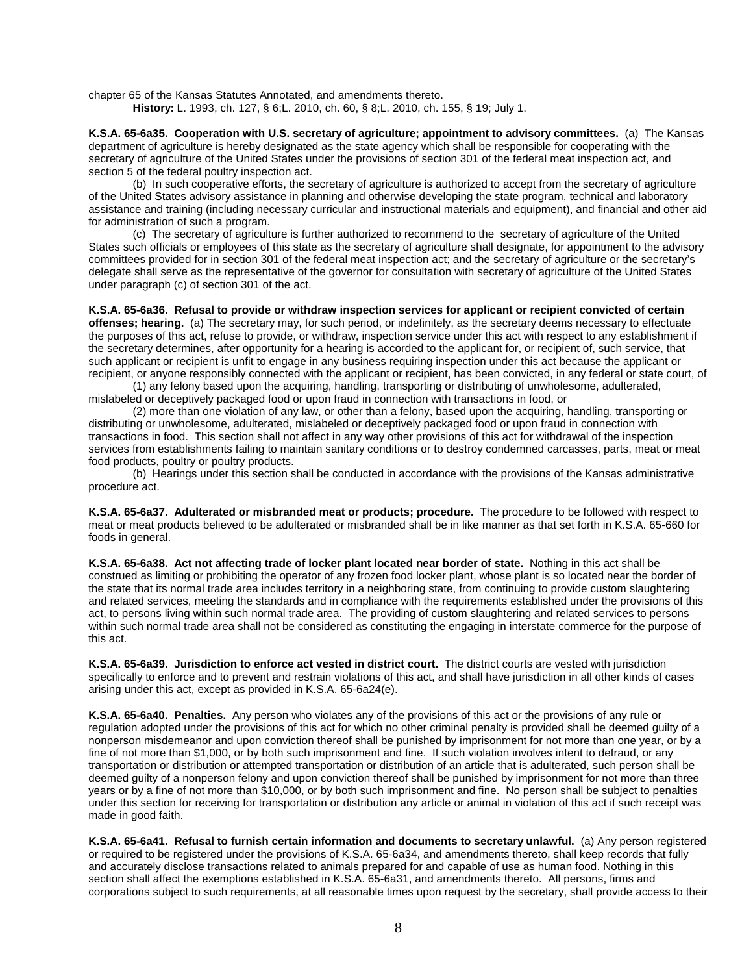chapter 65 of the Kansas Statutes Annotated, and amendments thereto.

**History:** L. 1993, ch. 127, § 6;L. 2010, ch. 60, § 8;L. 2010, ch. 155, § 19; July 1.

**K.S.A. 65-6a35. Cooperation with U.S. secretary of agriculture; appointment to advisory committees.** (a) The Kansas department of agriculture is hereby designated as the state agency which shall be responsible for cooperating with the secretary of agriculture of the United States under the provisions of section 301 of the federal meat inspection act, and section 5 of the federal poultry inspection act.

(b) In such cooperative efforts, the secretary of agriculture is authorized to accept from the secretary of agriculture of the United States advisory assistance in planning and otherwise developing the state program, technical and laboratory assistance and training (including necessary curricular and instructional materials and equipment), and financial and other aid for administration of such a program.

(c) The secretary of agriculture is further authorized to recommend to the secretary of agriculture of the United States such officials or employees of this state as the secretary of agriculture shall designate, for appointment to the advisory committees provided for in section 301 of the federal meat inspection act; and the secretary of agriculture or the secretary's delegate shall serve as the representative of the governor for consultation with secretary of agriculture of the United States under paragraph (c) of section 301 of the act.

**K.S.A. 65-6a36. Refusal to provide or withdraw inspection services for applicant or recipient convicted of certain offenses; hearing.** (a) The secretary may, for such period, or indefinitely, as the secretary deems necessary to effectuate the purposes of this act, refuse to provide, or withdraw, inspection service under this act with respect to any establishment if the secretary determines, after opportunity for a hearing is accorded to the applicant for, or recipient of, such service, that such applicant or recipient is unfit to engage in any business requiring inspection under this act because the applicant or recipient, or anyone responsibly connected with the applicant or recipient, has been convicted, in any federal or state court, of

(1) any felony based upon the acquiring, handling, transporting or distributing of unwholesome, adulterated, mislabeled or deceptively packaged food or upon fraud in connection with transactions in food, or

(2) more than one violation of any law, or other than a felony, based upon the acquiring, handling, transporting or distributing or unwholesome, adulterated, mislabeled or deceptively packaged food or upon fraud in connection with transactions in food. This section shall not affect in any way other provisions of this act for withdrawal of the inspection services from establishments failing to maintain sanitary conditions or to destroy condemned carcasses, parts, meat or meat food products, poultry or poultry products.

(b) Hearings under this section shall be conducted in accordance with the provisions of the Kansas administrative procedure act.

**K.S.A. 65-6a37. Adulterated or misbranded meat or products; procedure.** The procedure to be followed with respect to meat or meat products believed to be adulterated or misbranded shall be in like manner as that set forth in K.S.A. 65-660 for foods in general.

**K.S.A. 65-6a38. Act not affecting trade of locker plant located near border of state.** Nothing in this act shall be construed as limiting or prohibiting the operator of any frozen food locker plant, whose plant is so located near the border of the state that its normal trade area includes territory in a neighboring state, from continuing to provide custom slaughtering and related services, meeting the standards and in compliance with the requirements established under the provisions of this act, to persons living within such normal trade area. The providing of custom slaughtering and related services to persons within such normal trade area shall not be considered as constituting the engaging in interstate commerce for the purpose of this act.

**K.S.A. 65-6a39. Jurisdiction to enforce act vested in district court.** The district courts are vested with jurisdiction specifically to enforce and to prevent and restrain violations of this act, and shall have jurisdiction in all other kinds of cases arising under this act, except as provided in K.S.A. 65-6a24(e).

**K.S.A. 65-6a40. Penalties.** Any person who violates any of the provisions of this act or the provisions of any rule or regulation adopted under the provisions of this act for which no other criminal penalty is provided shall be deemed guilty of a nonperson misdemeanor and upon conviction thereof shall be punished by imprisonment for not more than one year, or by a fine of not more than \$1,000, or by both such imprisonment and fine. If such violation involves intent to defraud, or any transportation or distribution or attempted transportation or distribution of an article that is adulterated, such person shall be deemed guilty of a nonperson felony and upon conviction thereof shall be punished by imprisonment for not more than three years or by a fine of not more than \$10,000, or by both such imprisonment and fine. No person shall be subject to penalties under this section for receiving for transportation or distribution any article or animal in violation of this act if such receipt was made in good faith.

**K.S.A. 65-6a41. Refusal to furnish certain information and documents to secretary unlawful.** (a) Any person registered or required to be registered under the provisions of K.S.A. 65-6a34, and amendments thereto, shall keep records that fully and accurately disclose transactions related to animals prepared for and capable of use as human food. Nothing in this section shall affect the exemptions established in K.S.A. 65-6a31, and amendments thereto. All persons, firms and corporations subject to such requirements, at all reasonable times upon request by the secretary, shall provide access to their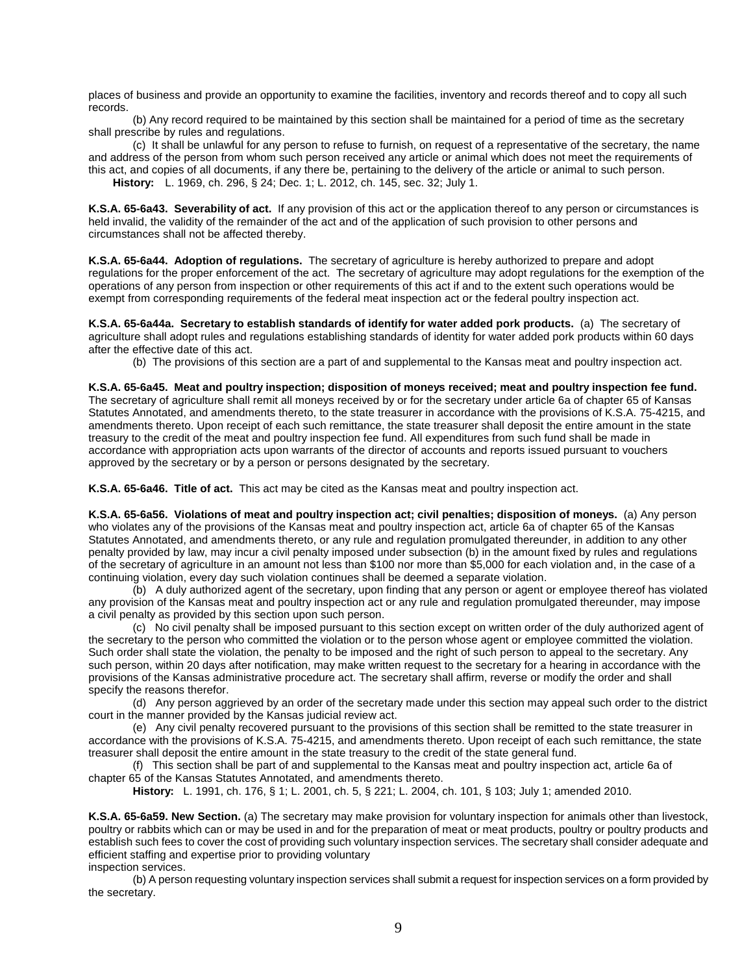places of business and provide an opportunity to examine the facilities, inventory and records thereof and to copy all such records.

(b) Any record required to be maintained by this section shall be maintained for a period of time as the secretary shall prescribe by rules and regulations.

(c) It shall be unlawful for any person to refuse to furnish, on request of a representative of the secretary, the name and address of the person from whom such person received any article or animal which does not meet the requirements of this act, and copies of all documents, if any there be, pertaining to the delivery of the article or animal to such person. **History:** L. 1969, ch. 296, § 24; Dec. 1; L. 2012, ch. 145, sec. 32; July 1.

**K.S.A. 65-6a43. Severability of act.** If any provision of this act or the application thereof to any person or circumstances is held invalid, the validity of the remainder of the act and of the application of such provision to other persons and circumstances shall not be affected thereby.

**K.S.A. 65-6a44. Adoption of regulations.** The secretary of agriculture is hereby authorized to prepare and adopt regulations for the proper enforcement of the act. The secretary of agriculture may adopt regulations for the exemption of the operations of any person from inspection or other requirements of this act if and to the extent such operations would be exempt from corresponding requirements of the federal meat inspection act or the federal poultry inspection act.

**K.S.A. 65-6a44a. Secretary to establish standards of identify for water added pork products.** (a) The secretary of agriculture shall adopt rules and regulations establishing standards of identity for water added pork products within 60 days after the effective date of this act.

(b) The provisions of this section are a part of and supplemental to the Kansas meat and poultry inspection act.

**K.S.A. 65-6a45. Meat and poultry inspection; disposition of moneys received; meat and poultry inspection fee fund.** The secretary of agriculture shall remit all moneys received by or for the secretary under article 6a of chapter 65 of Kansas Statutes Annotated, and amendments thereto, to the state treasurer in accordance with the provisions of K.S.A. 75-4215, and amendments thereto. Upon receipt of each such remittance, the state treasurer shall deposit the entire amount in the state treasury to the credit of the meat and poultry inspection fee fund. All expenditures from such fund shall be made in accordance with appropriation acts upon warrants of the director of accounts and reports issued pursuant to vouchers approved by the secretary or by a person or persons designated by the secretary.

**K.S.A. 65-6a46. Title of act.** This act may be cited as the Kansas meat and poultry inspection act.

**K.S.A. 65-6a56. Violations of meat and poultry inspection act; civil penalties; disposition of moneys.** (a) Any person who violates any of the provisions of the Kansas meat and poultry inspection act, article 6a of chapter 65 of the Kansas Statutes Annotated, and amendments thereto, or any rule and regulation promulgated thereunder, in addition to any other penalty provided by law, may incur a civil penalty imposed under subsection (b) in the amount fixed by rules and regulations of the secretary of agriculture in an amount not less than \$100 nor more than \$5,000 for each violation and, in the case of a continuing violation, every day such violation continues shall be deemed a separate violation.

(b) A duly authorized agent of the secretary, upon finding that any person or agent or employee thereof has violated any provision of the Kansas meat and poultry inspection act or any rule and regulation promulgated thereunder, may impose a civil penalty as provided by this section upon such person.

(c) No civil penalty shall be imposed pursuant to this section except on written order of the duly authorized agent of the secretary to the person who committed the violation or to the person whose agent or employee committed the violation. Such order shall state the violation, the penalty to be imposed and the right of such person to appeal to the secretary. Any such person, within 20 days after notification, may make written request to the secretary for a hearing in accordance with the provisions of the Kansas administrative procedure act. The secretary shall affirm, reverse or modify the order and shall specify the reasons therefor.

(d) Any person aggrieved by an order of the secretary made under this section may appeal such order to the district court in the manner provided by the Kansas judicial review act.

(e) Any civil penalty recovered pursuant to the provisions of this section shall be remitted to the state treasurer in accordance with the provisions of K.S.A. 75-4215, and amendments thereto. Upon receipt of each such remittance, the state treasurer shall deposit the entire amount in the state treasury to the credit of the state general fund.

(f) This section shall be part of and supplemental to the Kansas meat and poultry inspection act, article 6a of chapter 65 of the Kansas Statutes Annotated, and amendments thereto.

**History:** L. 1991, ch. 176, § 1; L. 2001, ch. 5, § 221; L. 2004, ch. 101, § 103; July 1; amended 2010.

**K.S.A. 65-6a59. New Section.** (a) The secretary may make provision for voluntary inspection for animals other than livestock, poultry or rabbits which can or may be used in and for the preparation of meat or meat products, poultry or poultry products and establish such fees to cover the cost of providing such voluntary inspection services. The secretary shall consider adequate and efficient staffing and expertise prior to providing voluntary inspection services.

(b) A person requesting voluntary inspection services shall submit a request for inspection services on a form provided by the secretary.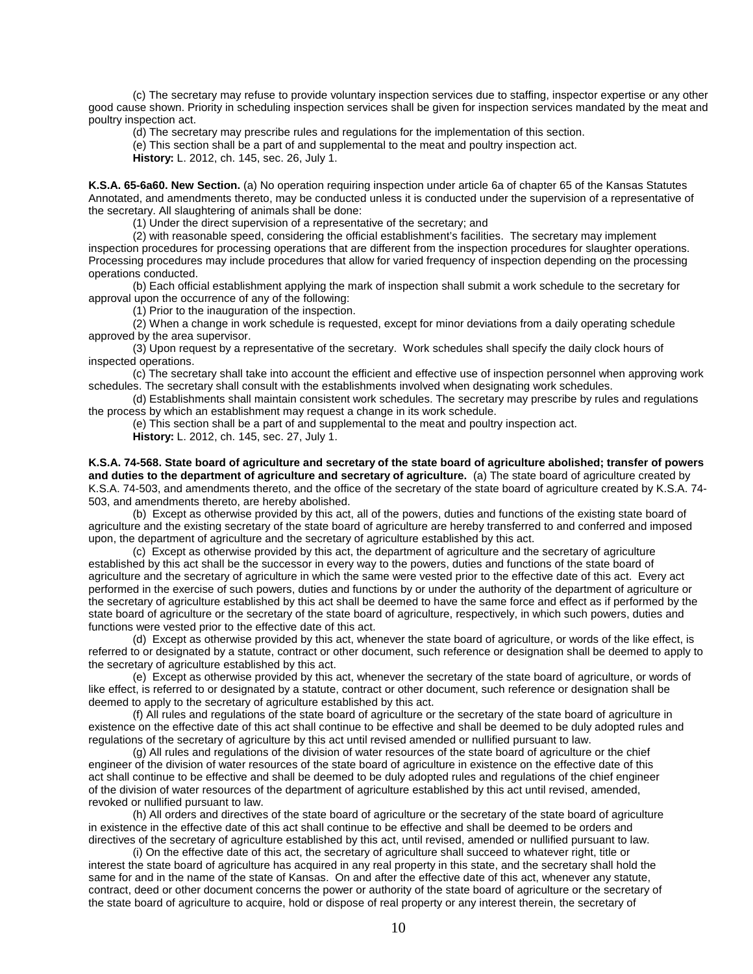(c) The secretary may refuse to provide voluntary inspection services due to staffing, inspector expertise or any other good cause shown. Priority in scheduling inspection services shall be given for inspection services mandated by the meat and poultry inspection act.

(d) The secretary may prescribe rules and regulations for the implementation of this section.

(e) This section shall be a part of and supplemental to the meat and poultry inspection act.

**History:** L. 2012, ch. 145, sec. 26, July 1.

**K.S.A. 65-6a60. New Section.** (a) No operation requiring inspection under article 6a of chapter 65 of the Kansas Statutes Annotated, and amendments thereto, may be conducted unless it is conducted under the supervision of a representative of the secretary. All slaughtering of animals shall be done:

(1) Under the direct supervision of a representative of the secretary; and

(2) with reasonable speed, considering the official establishment's facilities. The secretary may implement inspection procedures for processing operations that are different from the inspection procedures for slaughter operations. Processing procedures may include procedures that allow for varied frequency of inspection depending on the processing operations conducted.

(b) Each official establishment applying the mark of inspection shall submit a work schedule to the secretary for approval upon the occurrence of any of the following:

(1) Prior to the inauguration of the inspection.

(2) When a change in work schedule is requested, except for minor deviations from a daily operating schedule approved by the area supervisor.

(3) Upon request by a representative of the secretary. Work schedules shall specify the daily clock hours of inspected operations.

(c) The secretary shall take into account the efficient and effective use of inspection personnel when approving work schedules. The secretary shall consult with the establishments involved when designating work schedules.

(d) Establishments shall maintain consistent work schedules. The secretary may prescribe by rules and regulations the process by which an establishment may request a change in its work schedule.

(e) This section shall be a part of and supplemental to the meat and poultry inspection act. **History:** L. 2012, ch. 145, sec. 27, July 1.

**K.S.A. 74-568. State board of agriculture and secretary of the state board of agriculture abolished; transfer of powers and duties to the department of agriculture and secretary of agriculture.** (a) The state board of agriculture created by K.S.A. 74-503, and amendments thereto, and the office of the secretary of the state board of agriculture created by K.S.A. 74- 503, and amendments thereto, are hereby abolished.

(b)Except as otherwise provided by this act, all of the powers, duties and functions of the existing state board of agriculture and the existing secretary of the state board of agriculture are hereby transferred to and conferred and imposed upon, the department of agriculture and the secretary of agriculture established by this act.

(c) Except as otherwise provided by this act, the department of agriculture and the secretary of agriculture established by this act shall be the successor in every way to the powers, duties and functions of the state board of agriculture and the secretary of agriculture in which the same were vested prior to the effective date of this act. Every act performed in the exercise of such powers, duties and functions by or under the authority of the department of agriculture or the secretary of agriculture established by this act shall be deemed to have the same force and effect as if performed by the state board of agriculture or the secretary of the state board of agriculture, respectively, in which such powers, duties and functions were vested prior to the effective date of this act.

(d) Except as otherwise provided by this act, whenever the state board of agriculture, or words of the like effect, is referred to or designated by a statute, contract or other document, such reference or designation shall be deemed to apply to the secretary of agriculture established by this act.

(e) Except as otherwise provided by this act, whenever the secretary of the state board of agriculture, or words of like effect, is referred to or designated by a statute, contract or other document, such reference or designation shall be deemed to apply to the secretary of agriculture established by this act.

(f) All rules and regulations of the state board of agriculture or the secretary of the state board of agriculture in existence on the effective date of this act shall continue to be effective and shall be deemed to be duly adopted rules and regulations of the secretary of agriculture by this act until revised amended or nullified pursuant to law.

(g) All rules and regulations of the division of water resources of the state board of agriculture or the chief engineer of the division of water resources of the state board of agriculture in existence on the effective date of this act shall continue to be effective and shall be deemed to be duly adopted rules and regulations of the chief engineer of the division of water resources of the department of agriculture established by this act until revised, amended, revoked or nullified pursuant to law.

(h) All orders and directives of the state board of agriculture or the secretary of the state board of agriculture in existence in the effective date of this act shall continue to be effective and shall be deemed to be orders and directives of the secretary of agriculture established by this act, until revised, amended or nullified pursuant to law.

(i) On the effective date of this act, the secretary of agriculture shall succeed to whatever right, title or interest the state board of agriculture has acquired in any real property in this state, and the secretary shall hold the same for and in the name of the state of Kansas. On and after the effective date of this act, whenever any statute, contract, deed or other document concerns the power or authority of the state board of agriculture or the secretary of the state board of agriculture to acquire, hold or dispose of real property or any interest therein, the secretary of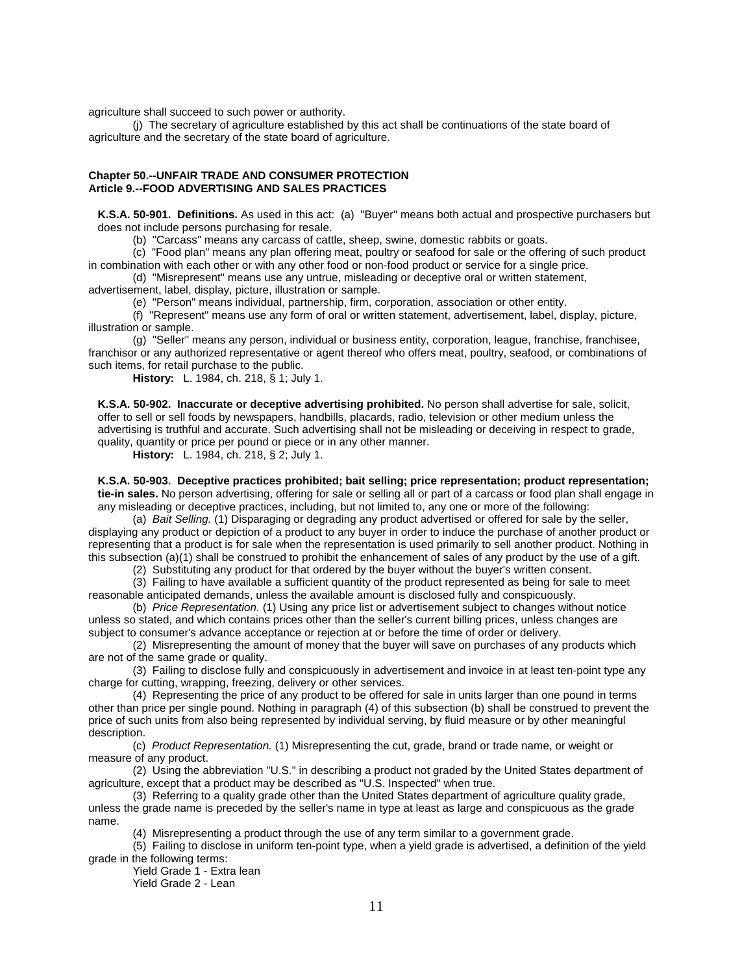agriculture shall succeed to such power or authority.

(j) The secretary of agriculture established by this act shall be continuations of the state board of agriculture and the secretary of the state board of agriculture.

## **Chapter 50.--UNFAIR TRADE AND CONSUMER PROTECTION Article 9.--FOOD ADVERTISING AND SALES PRACTICES**

**K.S.A. 50-901. Definitions.** As used in this act: (a) "Buyer" means both actual and prospective purchasers but does not include persons purchasing for resale.

(b) "Carcass" means any carcass of cattle, sheep, swine, domestic rabbits or goats.

(c) "Food plan" means any plan offering meat, poultry or seafood for sale or the offering of such product in combination with each other or with any other food or non-food product or service for a single price.

(d) "Misrepresent" means use any untrue, misleading or deceptive oral or written statement, advertisement, label, display, picture, illustration or sample.

(e) "Person" means individual, partnership, firm, corporation, association or other entity.

(f) "Represent" means use any form of oral or written statement, advertisement, label, display, picture, illustration or sample.

(g) "Seller" means any person, individual or business entity, corporation, league, franchise, franchisee, franchisor or any authorized representative or agent thereof who offers meat, poultry, seafood, or combinations of such items, for retail purchase to the public.

**History:** L. 1984, ch. 218, § 1; July 1.

**K.S.A. 50-902. Inaccurate or deceptive advertising prohibited.** No person shall advertise for sale, solicit, offer to sell or sell foods by newspapers, handbills, placards, radio, television or other medium unless the advertising is truthful and accurate. Such advertising shall not be misleading or deceiving in respect to grade, quality, quantity or price per pound or piece or in any other manner.

**History:** L. 1984, ch. 218, § 2; July 1.

**K.S.A. 50-903. Deceptive practices prohibited; bait selling; price representation; product representation; tie-in sales.** No person advertising, offering for sale or selling all or part of a carcass or food plan shall engage in any misleading or deceptive practices, including, but not limited to, any one or more of the following:

(a) *Bait Selling.* (1) Disparaging or degrading any product advertised or offered for sale by the seller, displaying any product or depiction of a product to any buyer in order to induce the purchase of another product or representing that a product is for sale when the representation is used primarily to sell another product. Nothing in this subsection (a)(1) shall be construed to prohibit the enhancement of sales of any product by the use of a gift.

(2) Substituting any product for that ordered by the buyer without the buyer's written consent.

(3) Failing to have available a sufficient quantity of the product represented as being for sale to meet reasonable anticipated demands, unless the available amount is disclosed fully and conspicuously.

(b) *Price Representation.* (1) Using any price list or advertisement subject to changes without notice unless so stated, and which contains prices other than the seller's current billing prices, unless changes are subject to consumer's advance acceptance or rejection at or before the time of order or delivery.

(2) Misrepresenting the amount of money that the buyer will save on purchases of any products which are not of the same grade or quality.

(3) Failing to disclose fully and conspicuously in advertisement and invoice in at least ten-point type any charge for cutting, wrapping, freezing, delivery or other services.

(4) Representing the price of any product to be offered for sale in units larger than one pound in terms other than price per single pound. Nothing in paragraph (4) of this subsection (b) shall be construed to prevent the price of such units from also being represented by individual serving, by fluid measure or by other meaningful description.

(c) *Product Representation.* (1) Misrepresenting the cut, grade, brand or trade name, or weight or measure of any product.

(2) Using the abbreviation "U.S." in describing a product not graded by the United States department of agriculture, except that a product may be described as "U.S. Inspected" when true.

(3) Referring to a quality grade other than the United States department of agriculture quality grade, unless the grade name is preceded by the seller's name in type at least as large and conspicuous as the grade name.

(4) Misrepresenting a product through the use of any term similar to a government grade.

(5) Failing to disclose in uniform ten-point type, when a yield grade is advertised, a definition of the yield grade in the following terms:

Yield Grade 1 - Extra lean Yield Grade 2 - Lean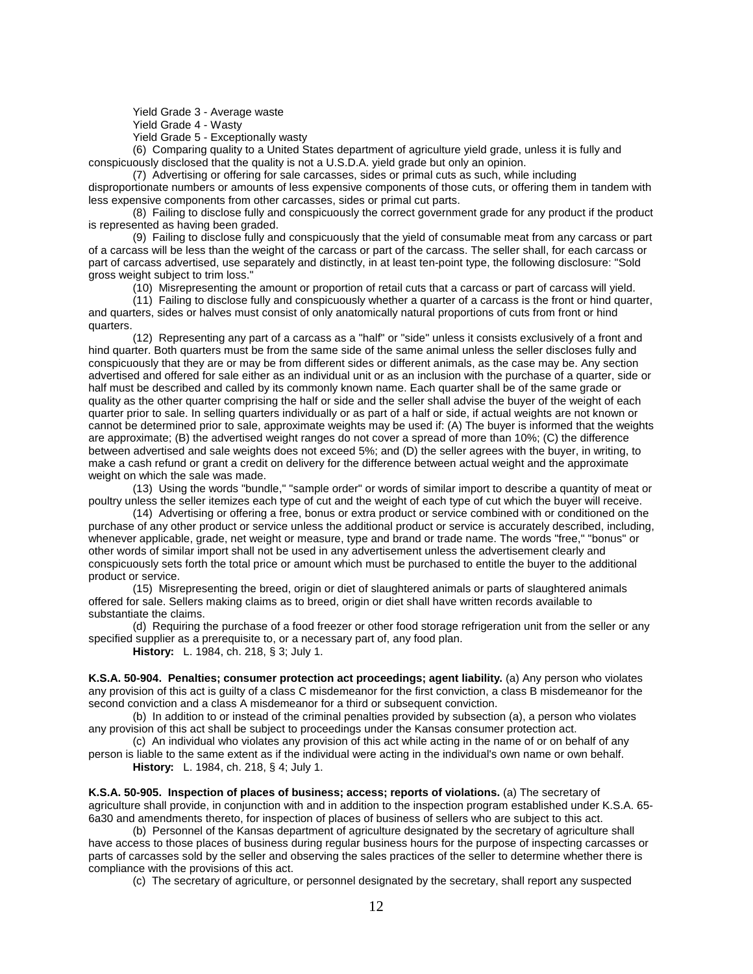Yield Grade 3 - Average waste

Yield Grade 4 - Wasty

Yield Grade 5 - Exceptionally wasty

(6) Comparing quality to a United States department of agriculture yield grade, unless it is fully and conspicuously disclosed that the quality is not a U.S.D.A. yield grade but only an opinion.

(7) Advertising or offering for sale carcasses, sides or primal cuts as such, while including disproportionate numbers or amounts of less expensive components of those cuts, or offering them in tandem with less expensive components from other carcasses, sides or primal cut parts.

(8) Failing to disclose fully and conspicuously the correct government grade for any product if the product is represented as having been graded.

(9) Failing to disclose fully and conspicuously that the yield of consumable meat from any carcass or part of a carcass will be less than the weight of the carcass or part of the carcass. The seller shall, for each carcass or part of carcass advertised, use separately and distinctly, in at least ten-point type, the following disclosure: "Sold gross weight subject to trim loss."

(10) Misrepresenting the amount or proportion of retail cuts that a carcass or part of carcass will yield.

(11) Failing to disclose fully and conspicuously whether a quarter of a carcass is the front or hind quarter, and quarters, sides or halves must consist of only anatomically natural proportions of cuts from front or hind quarters.

(12) Representing any part of a carcass as a "half" or "side" unless it consists exclusively of a front and hind quarter. Both quarters must be from the same side of the same animal unless the seller discloses fully and conspicuously that they are or may be from different sides or different animals, as the case may be. Any section advertised and offered for sale either as an individual unit or as an inclusion with the purchase of a quarter, side or half must be described and called by its commonly known name. Each quarter shall be of the same grade or quality as the other quarter comprising the half or side and the seller shall advise the buyer of the weight of each quarter prior to sale. In selling quarters individually or as part of a half or side, if actual weights are not known or cannot be determined prior to sale, approximate weights may be used if: (A) The buyer is informed that the weights are approximate; (B) the advertised weight ranges do not cover a spread of more than 10%; (C) the difference between advertised and sale weights does not exceed 5%; and (D) the seller agrees with the buyer, in writing, to make a cash refund or grant a credit on delivery for the difference between actual weight and the approximate weight on which the sale was made.

(13) Using the words "bundle," "sample order" or words of similar import to describe a quantity of meat or poultry unless the seller itemizes each type of cut and the weight of each type of cut which the buyer will receive.

(14) Advertising or offering a free, bonus or extra product or service combined with or conditioned on the purchase of any other product or service unless the additional product or service is accurately described, including, whenever applicable, grade, net weight or measure, type and brand or trade name. The words "free," "bonus" or other words of similar import shall not be used in any advertisement unless the advertisement clearly and conspicuously sets forth the total price or amount which must be purchased to entitle the buyer to the additional product or service.

(15) Misrepresenting the breed, origin or diet of slaughtered animals or parts of slaughtered animals offered for sale. Sellers making claims as to breed, origin or diet shall have written records available to substantiate the claims.

(d) Requiring the purchase of a food freezer or other food storage refrigeration unit from the seller or any specified supplier as a prerequisite to, or a necessary part of, any food plan.

**History:** L. 1984, ch. 218, § 3; July 1.

**K.S.A. 50-904. Penalties; consumer protection act proceedings; agent liability.** (a) Any person who violates any provision of this act is guilty of a class C misdemeanor for the first conviction, a class B misdemeanor for the second conviction and a class A misdemeanor for a third or subsequent conviction.

(b) In addition to or instead of the criminal penalties provided by subsection (a), a person who violates any provision of this act shall be subject to proceedings under the Kansas consumer protection act.

(c) An individual who violates any provision of this act while acting in the name of or on behalf of any person is liable to the same extent as if the individual were acting in the individual's own name or own behalf.

**History:** L. 1984, ch. 218, § 4; July 1.

**K.S.A. 50-905. Inspection of places of business; access; reports of violations.** (a) The secretary of agriculture shall provide, in conjunction with and in addition to the inspection program established under K.S.A. 65- 6a30 and amendments thereto, for inspection of places of business of sellers who are subject to this act.

(b) Personnel of the Kansas department of agriculture designated by the secretary of agriculture shall have access to those places of business during regular business hours for the purpose of inspecting carcasses or parts of carcasses sold by the seller and observing the sales practices of the seller to determine whether there is compliance with the provisions of this act.

(c) The secretary of agriculture, or personnel designated by the secretary, shall report any suspected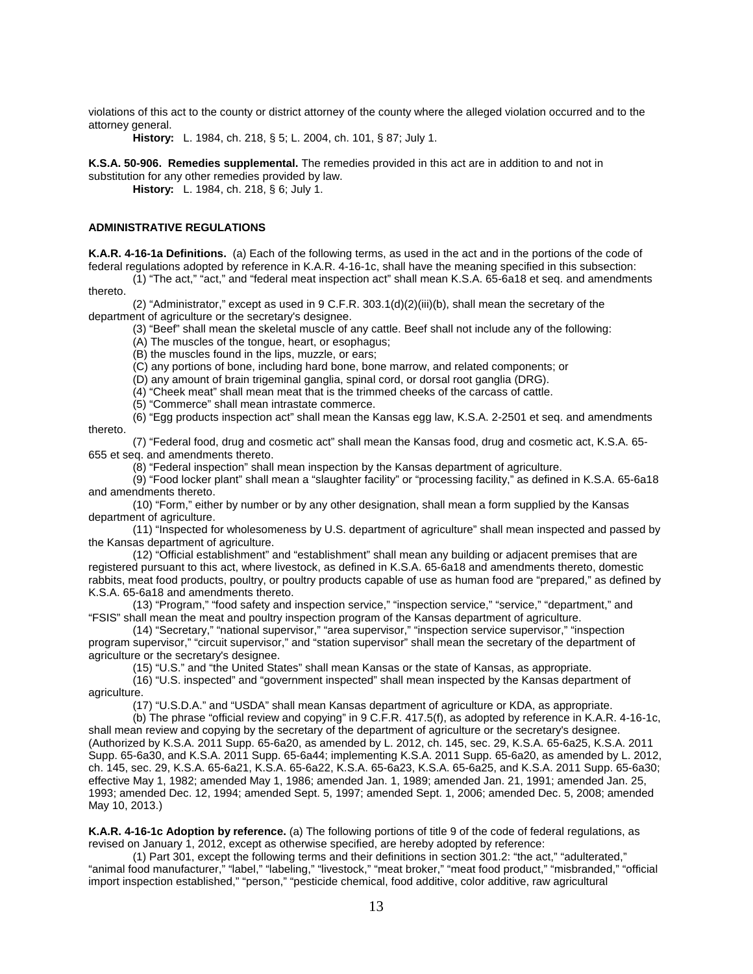violations of this act to the county or district attorney of the county where the alleged violation occurred and to the attorney general.

**History:** L. 1984, ch. 218, § 5; L. 2004, ch. 101, § 87; July 1.

**K.S.A. 50-906. Remedies supplemental.** The remedies provided in this act are in addition to and not in substitution for any other remedies provided by law.

**History:** L. 1984, ch. 218, § 6; July 1.

#### **ADMINISTRATIVE REGULATIONS**

**K.A.R. 4-16-1a Definitions.** (a) Each of the following terms, as used in the act and in the portions of the code of federal regulations adopted by reference in K.A.R. 4-16-1c, shall have the meaning specified in this subsection:

(1) "The act," "act," and "federal meat inspection act" shall mean K.S.A. 65-6a18 et seq. and amendments thereto.

(2) "Administrator," except as used in 9 C.F.R. 303.1(d)(2)(iii)(b), shall mean the secretary of the department of agriculture or the secretary's designee.

(3) "Beef" shall mean the skeletal muscle of any cattle. Beef shall not include any of the following:

(A) The muscles of the tongue, heart, or esophagus;

(B) the muscles found in the lips, muzzle, or ears;

(C) any portions of bone, including hard bone, bone marrow, and related components; or

(D) any amount of brain trigeminal ganglia, spinal cord, or dorsal root ganglia (DRG).

(4) "Cheek meat" shall mean meat that is the trimmed cheeks of the carcass of cattle.

(5) "Commerce" shall mean intrastate commerce.

(6) "Egg products inspection act" shall mean the Kansas egg law, K.S.A. 2-2501 et seq. and amendments thereto.

(7) "Federal food, drug and cosmetic act" shall mean the Kansas food, drug and cosmetic act, K.S.A. 65- 655 et seq. and amendments thereto.

(8) "Federal inspection" shall mean inspection by the Kansas department of agriculture.

(9) "Food locker plant" shall mean a "slaughter facility" or "processing facility," as defined in K.S.A. 65-6a18 and amendments thereto.

(10) "Form," either by number or by any other designation, shall mean a form supplied by the Kansas department of agriculture.

(11) "Inspected for wholesomeness by U.S. department of agriculture" shall mean inspected and passed by the Kansas department of agriculture.

(12) "Official establishment" and "establishment" shall mean any building or adjacent premises that are registered pursuant to this act, where livestock, as defined in K.S.A. 65-6a18 and amendments thereto, domestic rabbits, meat food products, poultry, or poultry products capable of use as human food are "prepared," as defined by K.S.A. 65-6a18 and amendments thereto.

(13) "Program," "food safety and inspection service," "inspection service," "service," "department," and "FSIS" shall mean the meat and poultry inspection program of the Kansas department of agriculture.

(14) "Secretary," "national supervisor," "area supervisor," "inspection service supervisor," "inspection program supervisor," "circuit supervisor," and "station supervisor" shall mean the secretary of the department of agriculture or the secretary's designee.

(15) "U.S." and "the United States" shall mean Kansas or the state of Kansas, as appropriate.

(16) "U.S. inspected" and "government inspected" shall mean inspected by the Kansas department of agriculture.

(17) "U.S.D.A." and "USDA" shall mean Kansas department of agriculture or KDA, as appropriate.

(b) The phrase "official review and copying" in 9 C.F.R. 417.5(f), as adopted by reference in K.A.R. 4-16-1c, shall mean review and copying by the secretary of the department of agriculture or the secretary's designee. (Authorized by K.S.A. 2011 Supp. 65-6a20, as amended by L. 2012, ch. 145, sec. 29, K.S.A. 65-6a25, K.S.A. 2011 Supp. 65-6a30, and K.S.A. 2011 Supp. 65-6a44; implementing K.S.A. 2011 Supp. 65-6a20, as amended by L. 2012, ch. 145, sec. 29, K.S.A. 65-6a21, K.S.A. 65-6a22, K.S.A. 65-6a23, K.S.A. 65-6a25, and K.S.A. 2011 Supp. 65-6a30; effective May 1, 1982; amended May 1, 1986; amended Jan. 1, 1989; amended Jan. 21, 1991; amended Jan. 25, 1993; amended Dec. 12, 1994; amended Sept. 5, 1997; amended Sept. 1, 2006; amended Dec. 5, 2008; amended May 10, 2013.)

**K.A.R. 4-16-1c Adoption by reference.** (a) The following portions of title 9 of the code of federal regulations, as revised on January 1, 2012, except as otherwise specified, are hereby adopted by reference:

(1) Part 301, except the following terms and their definitions in section 301.2: "the act," "adulterated," "animal food manufacturer," "label," "labeling," "livestock," "meat broker," "meat food product," "misbranded," "official import inspection established," "person," "pesticide chemical, food additive, color additive, raw agricultural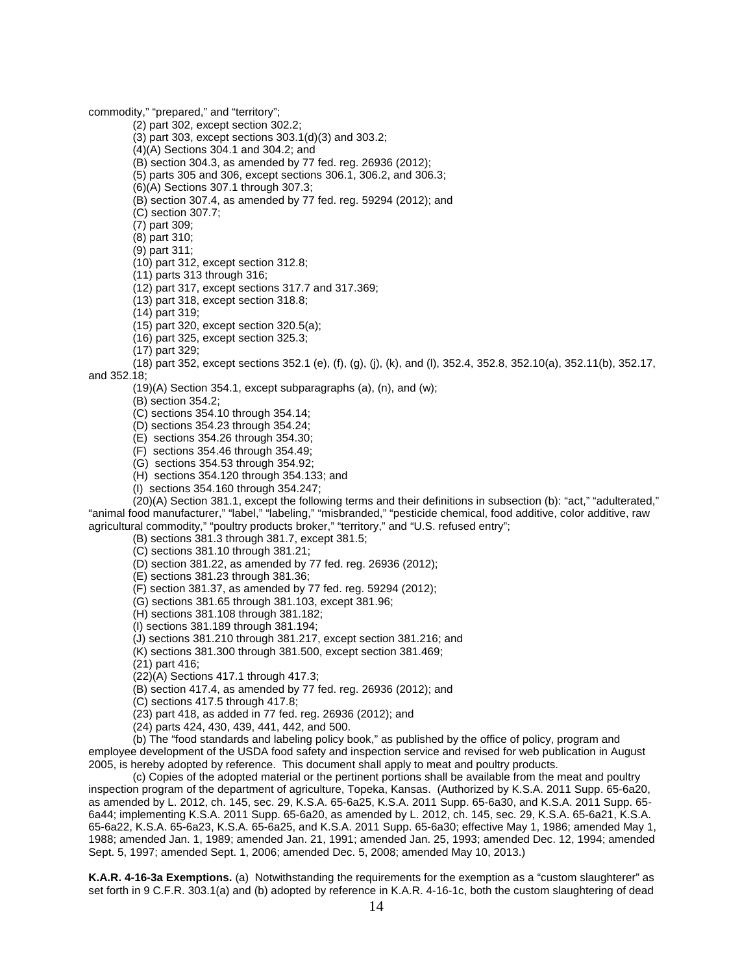commodity," "prepared," and "territory";

(2) part 302, except section 302.2;

(3) part 303, except sections 303.1(d)(3) and 303.2;

(4)(A) Sections 304.1 and 304.2; and

(B) section 304.3, as amended by 77 fed. reg. 26936 (2012);

(5) parts 305 and 306, except sections 306.1, 306.2, and 306.3;

(6)(A) Sections 307.1 through 307.3;

(B) section 307.4, as amended by 77 fed. reg. 59294 (2012); and

(C) section 307.7;

(7) part 309;

(8) part 310;

(9) part 311;

(10) part 312, except section 312.8;

(11) parts 313 through 316;

(12) part 317, except sections 317.7 and 317.369;

(13) part 318, except section 318.8;

(14) part 319;

(15) part 320, except section 320.5(a);

(16) part 325, except section 325.3;

(17) part 329;

(18) part 352, except sections 352.1 (e), (f), (g), (j), (k), and (l), 352.4, 352.8, 352.10(a), 352.11(b), 352.17, and 352.18;

(19)(A) Section 354.1, except subparagraphs (a), (n), and (w);

(B) section 354.2;

(C) sections 354.10 through 354.14;

(D) sections 354.23 through 354.24;

(E) sections 354.26 through 354.30;

(F) sections 354.46 through 354.49;

(G) sections 354.53 through 354.92;

(H) sections 354.120 through 354.133; and

(I) sections 354.160 through 354.247;

 $(20)(A)$  Section 381.1, except the following terms and their definitions in subsection (b): "act," "adulterated," "animal food manufacturer," "label," "labeling," "misbranded," "pesticide chemical, food additive, color additive, raw agricultural commodity," "poultry products broker," "territory," and "U.S. refused entry";

(B) sections 381.3 through 381.7, except 381.5;

(C) sections 381.10 through 381.21;

(D) section 381.22, as amended by 77 fed. reg. 26936 (2012);

(E) sections 381.23 through 381.36;

(F) section 381.37, as amended by 77 fed. reg. 59294 (2012);

(G) sections 381.65 through 381.103, except 381.96;

(H) sections 381.108 through 381.182;

(I) sections 381.189 through 381.194;

(J) sections 381.210 through 381.217, except section 381.216; and

(K) sections 381.300 through 381.500, except section 381.469;

(21) part 416;

(22)(A) Sections 417.1 through 417.3;

(B) section 417.4, as amended by 77 fed. reg. 26936 (2012); and

(C) sections 417.5 through 417.8;

(23) part 418, as added in 77 fed. reg. 26936 (2012); and

(24) parts 424, 430, 439, 441, 442, and 500.

(b) The "food standards and labeling policy book," as published by the office of policy, program and employee development of the USDA food safety and inspection service and revised for web publication in August 2005, is hereby adopted by reference. This document shall apply to meat and poultry products.

(c) Copies of the adopted material or the pertinent portions shall be available from the meat and poultry inspection program of the department of agriculture, Topeka, Kansas. (Authorized by K.S.A. 2011 Supp. 65-6a20, as amended by L. 2012, ch. 145, sec. 29, K.S.A. 65-6a25, K.S.A. 2011 Supp. 65-6a30, and K.S.A. 2011 Supp. 65- 6a44; implementing K.S.A. 2011 Supp. 65-6a20, as amended by L. 2012, ch. 145, sec. 29, K.S.A. 65-6a21, K.S.A. 65-6a22, K.S.A. 65-6a23, K.S.A. 65-6a25, and K.S.A. 2011 Supp. 65-6a30; effective May 1, 1986; amended May 1, 1988; amended Jan. 1, 1989; amended Jan. 21, 1991; amended Jan. 25, 1993; amended Dec. 12, 1994; amended Sept. 5, 1997; amended Sept. 1, 2006; amended Dec. 5, 2008; amended May 10, 2013.)

**K.A.R. 4-16-3a Exemptions.** (a) Notwithstanding the requirements for the exemption as a "custom slaughterer" as set forth in 9 C.F.R. 303.1(a) and (b) adopted by reference in K.A.R. 4-16-1c, both the custom slaughtering of dead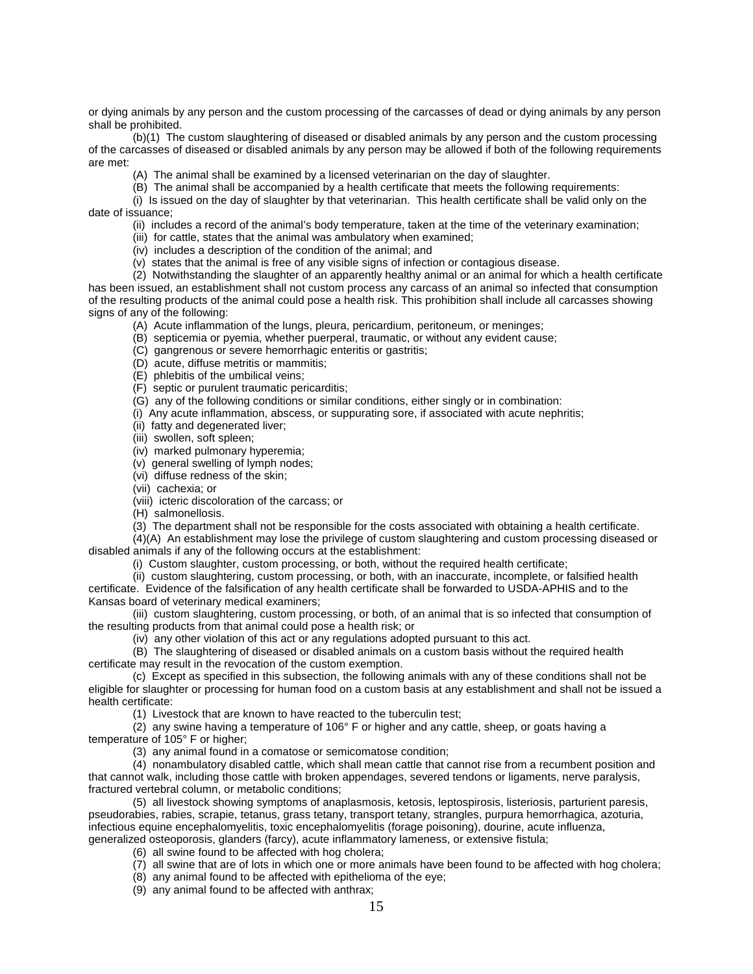or dying animals by any person and the custom processing of the carcasses of dead or dying animals by any person shall be prohibited.

(b)(1) The custom slaughtering of diseased or disabled animals by any person and the custom processing of the carcasses of diseased or disabled animals by any person may be allowed if both of the following requirements are met:

(A) The animal shall be examined by a licensed veterinarian on the day of slaughter.

(B) The animal shall be accompanied by a health certificate that meets the following requirements:

(i) Is issued on the day of slaughter by that veterinarian. This health certificate shall be valid only on the date of issuance;

(ii) includes a record of the animal's body temperature, taken at the time of the veterinary examination;

(iii) for cattle, states that the animal was ambulatory when examined;

(iv) includes a description of the condition of the animal; and

(v) states that the animal is free of any visible signs of infection or contagious disease.

(2) Notwithstanding the slaughter of an apparently healthy animal or an animal for which a health certificate has been issued, an establishment shall not custom process any carcass of an animal so infected that consumption of the resulting products of the animal could pose a health risk. This prohibition shall include all carcasses showing signs of any of the following:

(A) Acute inflammation of the lungs, pleura, pericardium, peritoneum, or meninges;

(B) septicemia or pyemia, whether puerperal, traumatic, or without any evident cause;

(C) gangrenous or severe hemorrhagic enteritis or gastritis;

(D) acute, diffuse metritis or mammitis;

(E) phlebitis of the umbilical veins;

(F) septic or purulent traumatic pericarditis;

(G) any of the following conditions or similar conditions, either singly or in combination:

(i) Any acute inflammation, abscess, or suppurating sore, if associated with acute nephritis;

(ii) fatty and degenerated liver;

(iii) swollen, soft spleen;

(iv) marked pulmonary hyperemia;

(v) general swelling of lymph nodes;

(vi) diffuse redness of the skin;

(vii) cachexia; or

(viii) icteric discoloration of the carcass; or

(H) salmonellosis.

(3) The department shall not be responsible for the costs associated with obtaining a health certificate.

(4)(A) An establishment may lose the privilege of custom slaughtering and custom processing diseased or disabled animals if any of the following occurs at the establishment:

(i) Custom slaughter, custom processing, or both, without the required health certificate;

(ii) custom slaughtering, custom processing, or both, with an inaccurate, incomplete, or falsified health certificate. Evidence of the falsification of any health certificate shall be forwarded to USDA-APHIS and to the Kansas board of veterinary medical examiners;

(iii) custom slaughtering, custom processing, or both, of an animal that is so infected that consumption of the resulting products from that animal could pose a health risk; or

(iv) any other violation of this act or any regulations adopted pursuant to this act.

(B) The slaughtering of diseased or disabled animals on a custom basis without the required health certificate may result in the revocation of the custom exemption.

(c) Except as specified in this subsection, the following animals with any of these conditions shall not be eligible for slaughter or processing for human food on a custom basis at any establishment and shall not be issued a health certificate:

(1) Livestock that are known to have reacted to the tuberculin test;

(2) any swine having a temperature of 106° F or higher and any cattle, sheep, or goats having a temperature of 105° F or higher;

(3) any animal found in a comatose or semicomatose condition;

(4) nonambulatory disabled cattle, which shall mean cattle that cannot rise from a recumbent position and that cannot walk, including those cattle with broken appendages, severed tendons or ligaments, nerve paralysis, fractured vertebral column, or metabolic conditions;

(5) all livestock showing symptoms of anaplasmosis, ketosis, leptospirosis, listeriosis, parturient paresis, pseudorabies, rabies, scrapie, tetanus, grass tetany, transport tetany, strangles, purpura hemorrhagica, azoturia, infectious equine encephalomyelitis, toxic encephalomyelitis (forage poisoning), dourine, acute influenza, generalized osteoporosis, glanders (farcy), acute inflammatory lameness, or extensive fistula;

(6) all swine found to be affected with hog cholera;

- (7) all swine that are of lots in which one or more animals have been found to be affected with hog cholera;
- (8) any animal found to be affected with epithelioma of the eye;

(9) any animal found to be affected with anthrax;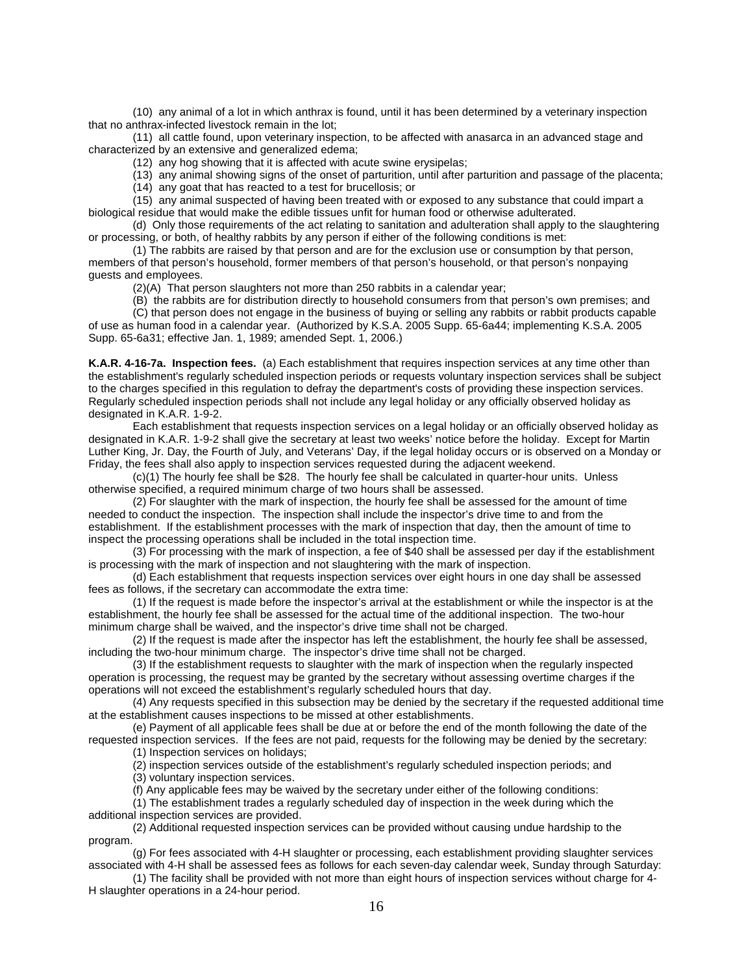(10) any animal of a lot in which anthrax is found, until it has been determined by a veterinary inspection that no anthrax-infected livestock remain in the lot;

(11) all cattle found, upon veterinary inspection, to be affected with anasarca in an advanced stage and characterized by an extensive and generalized edema;

(12) any hog showing that it is affected with acute swine erysipelas;

(13) any animal showing signs of the onset of parturition, until after parturition and passage of the placenta;

(14) any goat that has reacted to a test for brucellosis; or

(15) any animal suspected of having been treated with or exposed to any substance that could impart a biological residue that would make the edible tissues unfit for human food or otherwise adulterated.

(d) Only those requirements of the act relating to sanitation and adulteration shall apply to the slaughtering or processing, or both, of healthy rabbits by any person if either of the following conditions is met:

(1) The rabbits are raised by that person and are for the exclusion use or consumption by that person, members of that person's household, former members of that person's household, or that person's nonpaying guests and employees.

(2)(A) That person slaughters not more than 250 rabbits in a calendar year;

(B) the rabbits are for distribution directly to household consumers from that person's own premises; and

(C) that person does not engage in the business of buying or selling any rabbits or rabbit products capable of use as human food in a calendar year. (Authorized by K.S.A. 2005 Supp. 65-6a44; implementing K.S.A. 2005 Supp. 65-6a31; effective Jan. 1, 1989; amended Sept. 1, 2006.)

**K.A.R. 4-16-7a. Inspection fees.** (a) Each establishment that requires inspection services at any time other than the establishment's regularly scheduled inspection periods or requests voluntary inspection services shall be subject to the charges specified in this regulation to defray the department's costs of providing these inspection services. Regularly scheduled inspection periods shall not include any legal holiday or any officially observed holiday as designated in K.A.R. 1-9-2.

Each establishment that requests inspection services on a legal holiday or an officially observed holiday as designated in K.A.R. 1-9-2 shall give the secretary at least two weeks' notice before the holiday. Except for Martin Luther King, Jr. Day, the Fourth of July, and Veterans' Day, if the legal holiday occurs or is observed on a Monday or Friday, the fees shall also apply to inspection services requested during the adjacent weekend.

(c)(1) The hourly fee shall be \$28. The hourly fee shall be calculated in quarter-hour units. Unless otherwise specified, a required minimum charge of two hours shall be assessed.

(2) For slaughter with the mark of inspection, the hourly fee shall be assessed for the amount of time needed to conduct the inspection. The inspection shall include the inspector's drive time to and from the establishment. If the establishment processes with the mark of inspection that day, then the amount of time to inspect the processing operations shall be included in the total inspection time.

(3) For processing with the mark of inspection, a fee of \$40 shall be assessed per day if the establishment is processing with the mark of inspection and not slaughtering with the mark of inspection.

(d) Each establishment that requests inspection services over eight hours in one day shall be assessed fees as follows, if the secretary can accommodate the extra time:

(1) If the request is made before the inspector's arrival at the establishment or while the inspector is at the establishment, the hourly fee shall be assessed for the actual time of the additional inspection. The two-hour minimum charge shall be waived, and the inspector's drive time shall not be charged.

(2) If the request is made after the inspector has left the establishment, the hourly fee shall be assessed, including the two-hour minimum charge. The inspector's drive time shall not be charged.

(3) If the establishment requests to slaughter with the mark of inspection when the regularly inspected operation is processing, the request may be granted by the secretary without assessing overtime charges if the operations will not exceed the establishment's regularly scheduled hours that day.

(4) Any requests specified in this subsection may be denied by the secretary if the requested additional time at the establishment causes inspections to be missed at other establishments.

(e) Payment of all applicable fees shall be due at or before the end of the month following the date of the requested inspection services. If the fees are not paid, requests for the following may be denied by the secretary:

(1) Inspection services on holidays;

(2) inspection services outside of the establishment's regularly scheduled inspection periods; and (3) voluntary inspection services.

(f) Any applicable fees may be waived by the secretary under either of the following conditions:

(1) The establishment trades a regularly scheduled day of inspection in the week during which the additional inspection services are provided.

(2) Additional requested inspection services can be provided without causing undue hardship to the program.

(g) For fees associated with 4-H slaughter or processing, each establishment providing slaughter services associated with 4-H shall be assessed fees as follows for each seven-day calendar week, Sunday through Saturday:

(1) The facility shall be provided with not more than eight hours of inspection services without charge for 4- H slaughter operations in a 24-hour period.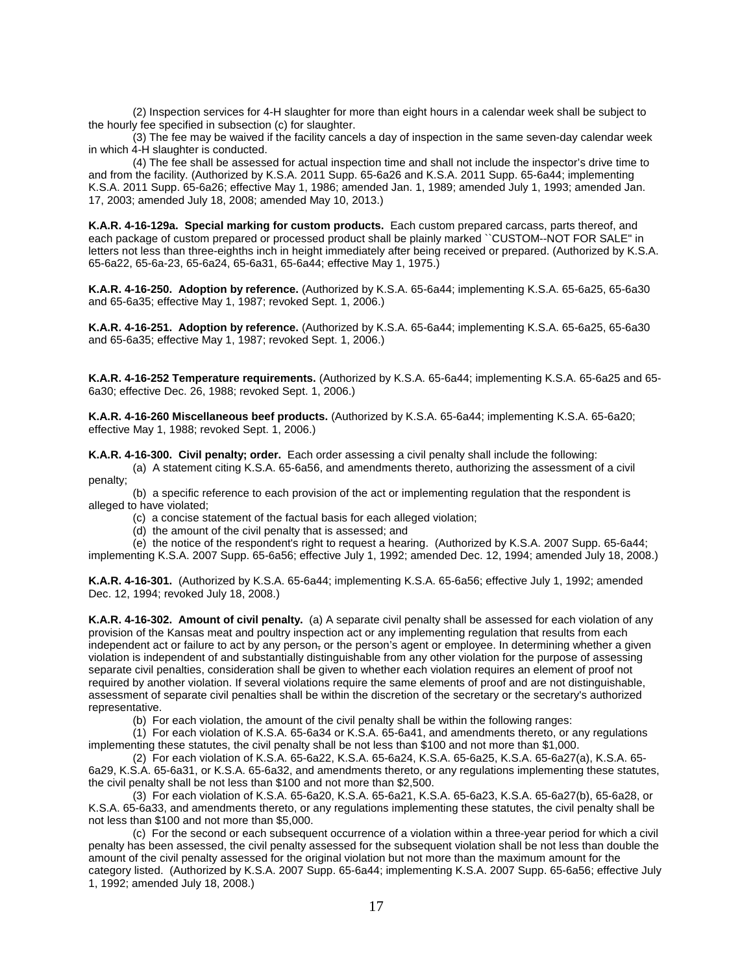(2) Inspection services for 4-H slaughter for more than eight hours in a calendar week shall be subject to the hourly fee specified in subsection (c) for slaughter.

(3) The fee may be waived if the facility cancels a day of inspection in the same seven-day calendar week in which 4-H slaughter is conducted.

(4) The fee shall be assessed for actual inspection time and shall not include the inspector's drive time to and from the facility. (Authorized by K.S.A. 2011 Supp. 65-6a26 and K.S.A. 2011 Supp. 65-6a44; implementing K.S.A. 2011 Supp. 65-6a26; effective May 1, 1986; amended Jan. 1, 1989; amended July 1, 1993; amended Jan. 17, 2003; amended July 18, 2008; amended May 10, 2013.)

**K.A.R. 4-16-129a. Special marking for custom products.** Each custom prepared carcass, parts thereof, and each package of custom prepared or processed product shall be plainly marked ``CUSTOM--NOT FOR SALE'' in letters not less than three-eighths inch in height immediately after being received or prepared. (Authorized by K.S.A. 65-6a22, 65-6a-23, 65-6a24, 65-6a31, 65-6a44; effective May 1, 1975.)

**K.A.R. 4-16-250. Adoption by reference.** (Authorized by K.S.A. 65-6a44; implementing K.S.A. 65-6a25, 65-6a30 and 65-6a35; effective May 1, 1987; revoked Sept. 1, 2006.)

**K.A.R. 4-16-251. Adoption by reference.** (Authorized by K.S.A. 65-6a44; implementing K.S.A. 65-6a25, 65-6a30 and 65-6a35; effective May 1, 1987; revoked Sept. 1, 2006.)

**K.A.R. 4-16-252 Temperature requirements.** (Authorized by K.S.A. 65-6a44; implementing K.S.A. 65-6a25 and 65- 6a30; effective Dec. 26, 1988; revoked Sept. 1, 2006.)

**K.A.R. 4-16-260 Miscellaneous beef products.** (Authorized by K.S.A. 65-6a44; implementing K.S.A. 65-6a20; effective May 1, 1988; revoked Sept. 1, 2006.)

**K.A.R. 4-16-300. Civil penalty; order.** Each order assessing a civil penalty shall include the following:

(a) A statement citing K.S.A. 65-6a56, and amendments thereto, authorizing the assessment of a civil penalty;

(b) a specific reference to each provision of the act or implementing regulation that the respondent is alleged to have violated;

(c) a concise statement of the factual basis for each alleged violation;

(d) the amount of the civil penalty that is assessed; and

(e) the notice of the respondent's right to request a hearing. (Authorized by K.S.A. 2007 Supp. 65-6a44;

implementing K.S.A. 2007 Supp. 65-6a56; effective July 1, 1992; amended Dec. 12, 1994; amended July 18, 2008.)

**K.A.R. 4-16-301.** (Authorized by K.S.A. 65-6a44; implementing K.S.A. 65-6a56; effective July 1, 1992; amended Dec. 12, 1994; revoked July 18, 2008.)

**K.A.R. 4-16-302. Amount of civil penalty.** (a) A separate civil penalty shall be assessed for each violation of any provision of the Kansas meat and poultry inspection act or any implementing regulation that results from each independent act or failure to act by any person<sub>r</sub> or the person's agent or employee. In determining whether a given violation is independent of and substantially distinguishable from any other violation for the purpose of assessing separate civil penalties, consideration shall be given to whether each violation requires an element of proof not required by another violation. If several violations require the same elements of proof and are not distinguishable, assessment of separate civil penalties shall be within the discretion of the secretary or the secretary's authorized representative.

(b) For each violation, the amount of the civil penalty shall be within the following ranges:

(1) For each violation of K.S.A. 65-6a34 or K.S.A. 65-6a41, and amendments thereto, or any regulations implementing these statutes, the civil penalty shall be not less than \$100 and not more than \$1,000.

(2) For each violation of K.S.A. 65-6a22, K.S.A. 65-6a24, K.S.A. 65-6a25, K.S.A. 65-6a27(a), K.S.A. 65- 6a29, K.S.A. 65-6a31, or K.S.A. 65-6a32, and amendments thereto, or any regulations implementing these statutes, the civil penalty shall be not less than \$100 and not more than \$2,500.

(3) For each violation of K.S.A. 65-6a20, K.S.A. 65-6a21, K.S.A. 65-6a23, K.S.A. 65-6a27(b), 65-6a28, or K.S.A. 65-6a33, and amendments thereto, or any regulations implementing these statutes, the civil penalty shall be not less than \$100 and not more than \$5,000.

(c) For the second or each subsequent occurrence of a violation within a three-year period for which a civil penalty has been assessed, the civil penalty assessed for the subsequent violation shall be not less than double the amount of the civil penalty assessed for the original violation but not more than the maximum amount for the category listed. (Authorized by K.S.A. 2007 Supp. 65-6a44; implementing K.S.A. 2007 Supp. 65-6a56; effective July 1, 1992; amended July 18, 2008.)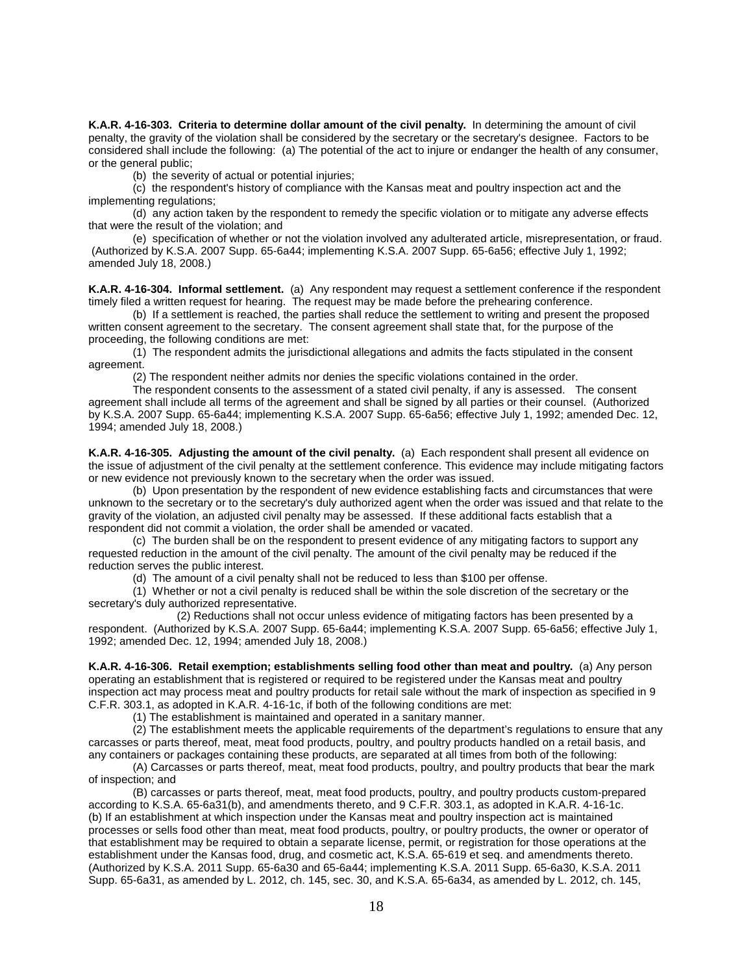**K.A.R. 4-16-303. Criteria to determine dollar amount of the civil penalty.** In determining the amount of civil penalty, the gravity of the violation shall be considered by the secretary or the secretary's designee. Factors to be considered shall include the following: (a) The potential of the act to injure or endanger the health of any consumer, or the general public;

(b) the severity of actual or potential injuries;

(c) the respondent's history of compliance with the Kansas meat and poultry inspection act and the implementing regulations;

(d) any action taken by the respondent to remedy the specific violation or to mitigate any adverse effects that were the result of the violation; and

(e) specification of whether or not the violation involved any adulterated article, misrepresentation, or fraud. (Authorized by K.S.A. 2007 Supp. 65-6a44; implementing K.S.A. 2007 Supp. 65-6a56; effective July 1, 1992; amended July 18, 2008.)

**K.A.R. 4-16-304. Informal settlement.** (a) Any respondent may request a settlement conference if the respondent timely filed a written request for hearing. The request may be made before the prehearing conference.

(b) If a settlement is reached, the parties shall reduce the settlement to writing and present the proposed written consent agreement to the secretary. The consent agreement shall state that, for the purpose of the proceeding, the following conditions are met:

(1) The respondent admits the jurisdictional allegations and admits the facts stipulated in the consent agreement.

(2) The respondent neither admits nor denies the specific violations contained in the order.

The respondent consents to the assessment of a stated civil penalty, if any is assessed. The consent agreement shall include all terms of the agreement and shall be signed by all parties or their counsel. (Authorized by K.S.A. 2007 Supp. 65-6a44; implementing K.S.A. 2007 Supp. 65-6a56; effective July 1, 1992; amended Dec. 12, 1994; amended July 18, 2008.)

**K.A.R. 4-16-305. Adjusting the amount of the civil penalty.** (a) Each respondent shall present all evidence on the issue of adjustment of the civil penalty at the settlement conference. This evidence may include mitigating factors or new evidence not previously known to the secretary when the order was issued.

(b) Upon presentation by the respondent of new evidence establishing facts and circumstances that were unknown to the secretary or to the secretary's duly authorized agent when the order was issued and that relate to the gravity of the violation, an adjusted civil penalty may be assessed. If these additional facts establish that a respondent did not commit a violation, the order shall be amended or vacated.

(c) The burden shall be on the respondent to present evidence of any mitigating factors to support any requested reduction in the amount of the civil penalty. The amount of the civil penalty may be reduced if the reduction serves the public interest.

(d) The amount of a civil penalty shall not be reduced to less than \$100 per offense.

(1) Whether or not a civil penalty is reduced shall be within the sole discretion of the secretary or the secretary's duly authorized representative.

(2) Reductions shall not occur unless evidence of mitigating factors has been presented by a respondent. (Authorized by K.S.A. 2007 Supp. 65-6a44; implementing K.S.A. 2007 Supp. 65-6a56; effective July 1, 1992; amended Dec. 12, 1994; amended July 18, 2008.)

**K.A.R. 4-16-306. Retail exemption; establishments selling food other than meat and poultry.** (a) Any person operating an establishment that is registered or required to be registered under the Kansas meat and poultry inspection act may process meat and poultry products for retail sale without the mark of inspection as specified in 9 C.F.R. 303.1, as adopted in K.A.R. 4-16-1c, if both of the following conditions are met:

(1) The establishment is maintained and operated in a sanitary manner.

(2) The establishment meets the applicable requirements of the department's regulations to ensure that any carcasses or parts thereof, meat, meat food products, poultry, and poultry products handled on a retail basis, and any containers or packages containing these products, are separated at all times from both of the following:

(A) Carcasses or parts thereof, meat, meat food products, poultry, and poultry products that bear the mark of inspection; and

(B) carcasses or parts thereof, meat, meat food products, poultry, and poultry products custom-prepared according to K.S.A. 65-6a31(b), and amendments thereto, and 9 C.F.R. 303.1, as adopted in K.A.R. 4-16-1c. (b) If an establishment at which inspection under the Kansas meat and poultry inspection act is maintained processes or sells food other than meat, meat food products, poultry, or poultry products, the owner or operator of that establishment may be required to obtain a separate license, permit, or registration for those operations at the establishment under the Kansas food, drug, and cosmetic act, K.S.A. 65-619 et seq. and amendments thereto. (Authorized by K.S.A. 2011 Supp. 65-6a30 and 65-6a44; implementing K.S.A. 2011 Supp. 65-6a30, K.S.A. 2011 Supp. 65-6a31, as amended by L. 2012, ch. 145, sec. 30, and K.S.A. 65-6a34, as amended by L. 2012, ch. 145,